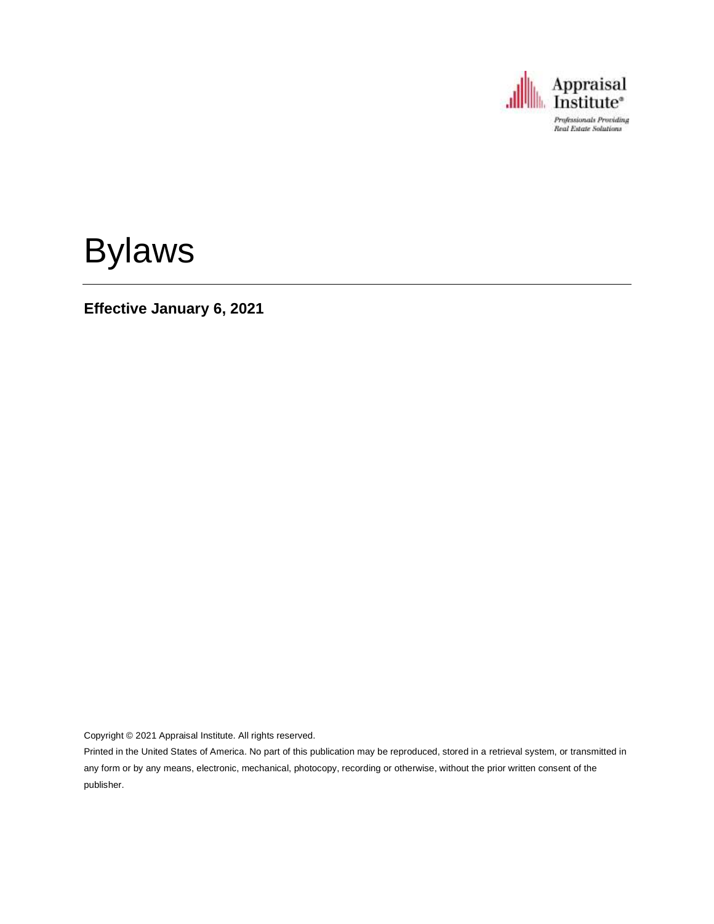

# Bylaws

**Effective January 6, 2021**

Copyright © 2021 Appraisal Institute. All rights reserved.

Printed in the United States of America. No part of this publication may be reproduced, stored in a retrieval system, or transmitted in any form or by any means, electronic, mechanical, photocopy, recording or otherwise, without the prior written consent of the publisher.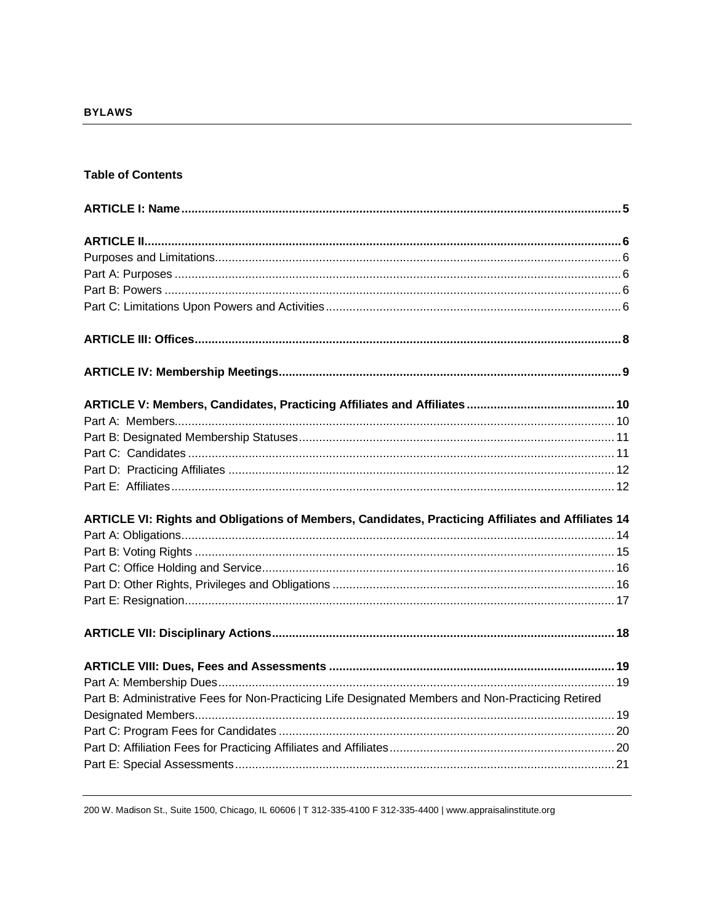#### **Table of Contents**

| ARTICLE VI: Rights and Obligations of Members, Candidates, Practicing Affiliates and Affiliates 14 |  |
|----------------------------------------------------------------------------------------------------|--|
|                                                                                                    |  |
|                                                                                                    |  |
|                                                                                                    |  |
|                                                                                                    |  |
|                                                                                                    |  |
|                                                                                                    |  |
|                                                                                                    |  |
|                                                                                                    |  |
| Part B: Administrative Fees for Non-Practicing Life Designated Members and Non-Practicing Retired  |  |
|                                                                                                    |  |
|                                                                                                    |  |
|                                                                                                    |  |
|                                                                                                    |  |

200 W. Madison St., Suite 1500, Chicago, IL 60606 | T 312-335-4100 F 312-335-4400 | www.appraisalinstitute.org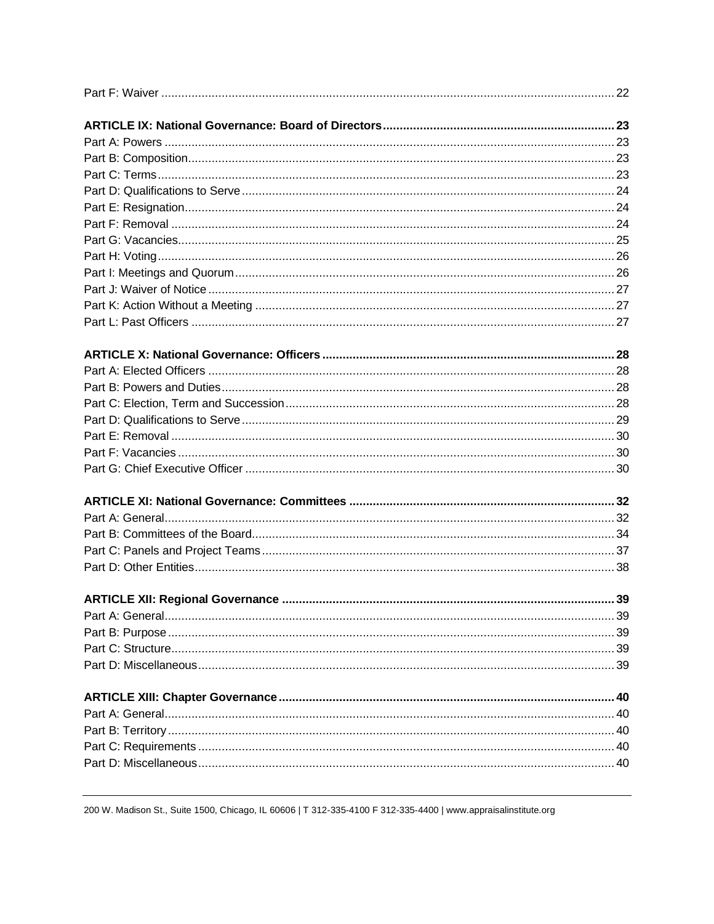200 W. Madison St., Suite 1500, Chicago, IL 60606 | T 312-335-4100 F 312-335-4400 | www.appraisalinstitute.org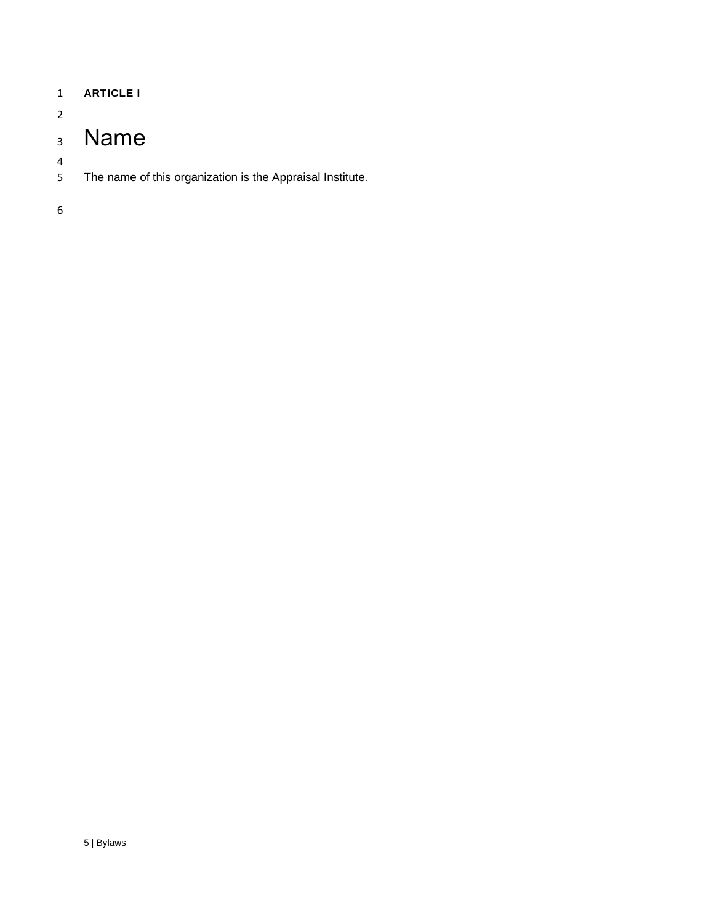<span id="page-4-0"></span>

| <b>ARTICLE I</b> |  |
|------------------|--|
|                  |  |

# <span id="page-4-1"></span>Name

The name of this organization is the Appraisal Institute.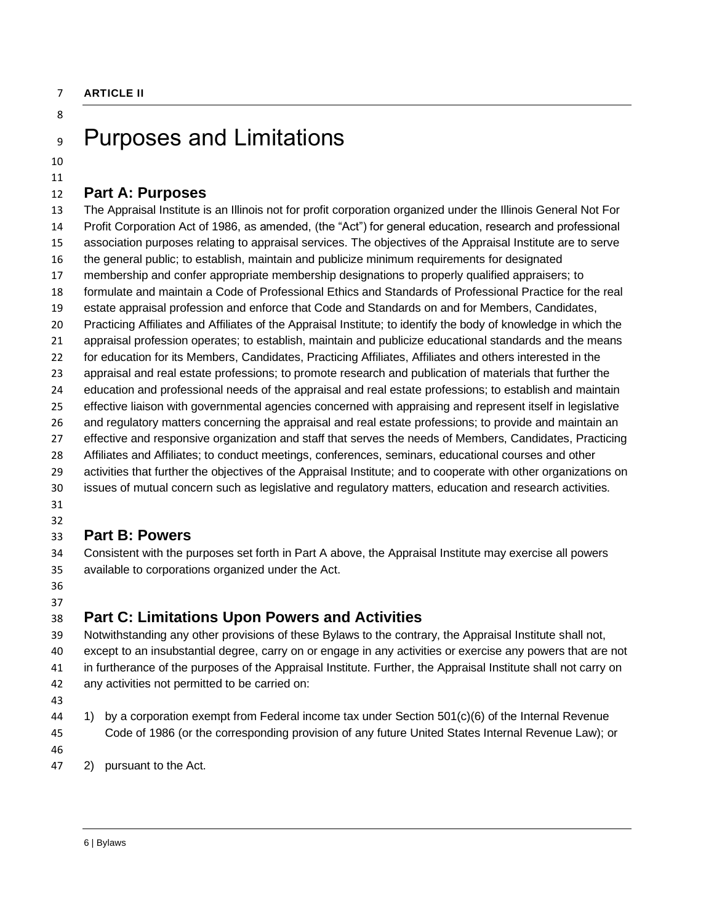# <span id="page-5-1"></span><span id="page-5-0"></span>Purposes and Limitations

 

### <span id="page-5-2"></span>**Part A: Purposes**

 The Appraisal Institute is an Illinois not for profit corporation organized under the Illinois General Not For Profit Corporation Act of 1986, as amended, (the "Act") for general education, research and professional association purposes relating to appraisal services. The objectives of the Appraisal Institute are to serve the general public; to establish, maintain and publicize minimum requirements for designated membership and confer appropriate membership designations to properly qualified appraisers; to formulate and maintain a Code of Professional Ethics and Standards of Professional Practice for the real estate appraisal profession and enforce that Code and Standards on and for Members, Candidates, Practicing Affiliates and Affiliates of the Appraisal Institute; to identify the body of knowledge in which the appraisal profession operates; to establish, maintain and publicize educational standards and the means for education for its Members, Candidates, Practicing Affiliates, Affiliates and others interested in the appraisal and real estate professions; to promote research and publication of materials that further the education and professional needs of the appraisal and real estate professions; to establish and maintain effective liaison with governmental agencies concerned with appraising and represent itself in legislative and regulatory matters concerning the appraisal and real estate professions; to provide and maintain an effective and responsive organization and staff that serves the needs of Members, Candidates, Practicing Affiliates and Affiliates; to conduct meetings, conferences, seminars, educational courses and other activities that further the objectives of the Appraisal Institute; and to cooperate with other organizations on issues of mutual concern such as legislative and regulatory matters, education and research activities.

 

#### <span id="page-5-3"></span>**Part B: Powers**

- Consistent with the purposes set forth in Part A above, the Appraisal Institute may exercise all powers available to corporations organized under the Act.
- 

## <span id="page-5-4"></span>**Part C: Limitations Upon Powers and Activities**

 Notwithstanding any other provisions of these Bylaws to the contrary, the Appraisal Institute shall not, except to an insubstantial degree, carry on or engage in any activities or exercise any powers that are not in furtherance of the purposes of the Appraisal Institute. Further, the Appraisal Institute shall not carry on any activities not permitted to be carried on:

- 
- 1) by a corporation exempt from Federal income tax under Section 501(c)(6) of the Internal Revenue Code of 1986 (or the corresponding provision of any future United States Internal Revenue Law); or
- 
- 2) pursuant to the Act.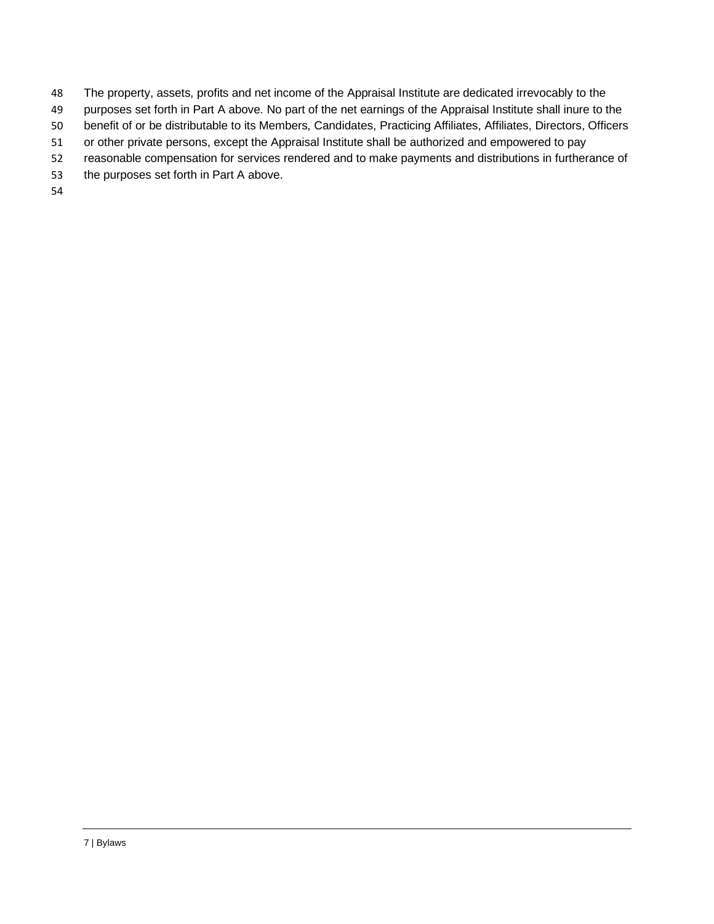- The property, assets, profits and net income of the Appraisal Institute are dedicated irrevocably to the
- 49 purposes set forth in Part A above. No part of the net earnings of the Appraisal Institute shall inure to the
- benefit of or be distributable to its Members, Candidates, Practicing Affiliates, Affiliates, Directors, Officers
- or other private persons, except the Appraisal Institute shall be authorized and empowered to pay
- reasonable compensation for services rendered and to make payments and distributions in furtherance of
- the purposes set forth in Part A above.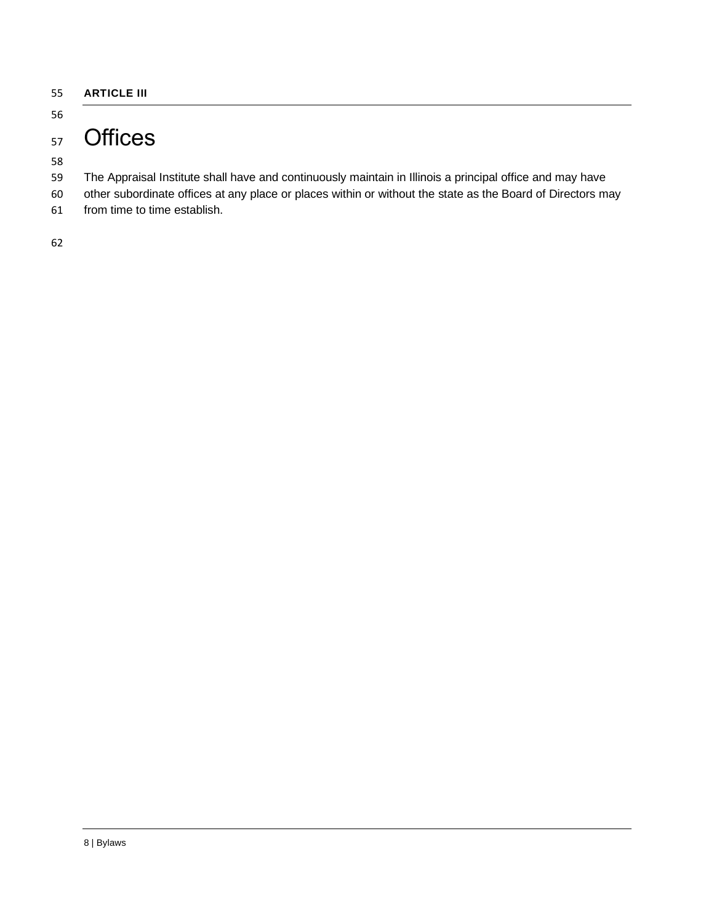<span id="page-7-0"></span>**ARTICLE III**

#### 

# <span id="page-7-1"></span><sub>57</sub> Offices

- The Appraisal Institute shall have and continuously maintain in Illinois a principal office and may have
- other subordinate offices at any place or places within or without the state as the Board of Directors may
- from time to time establish.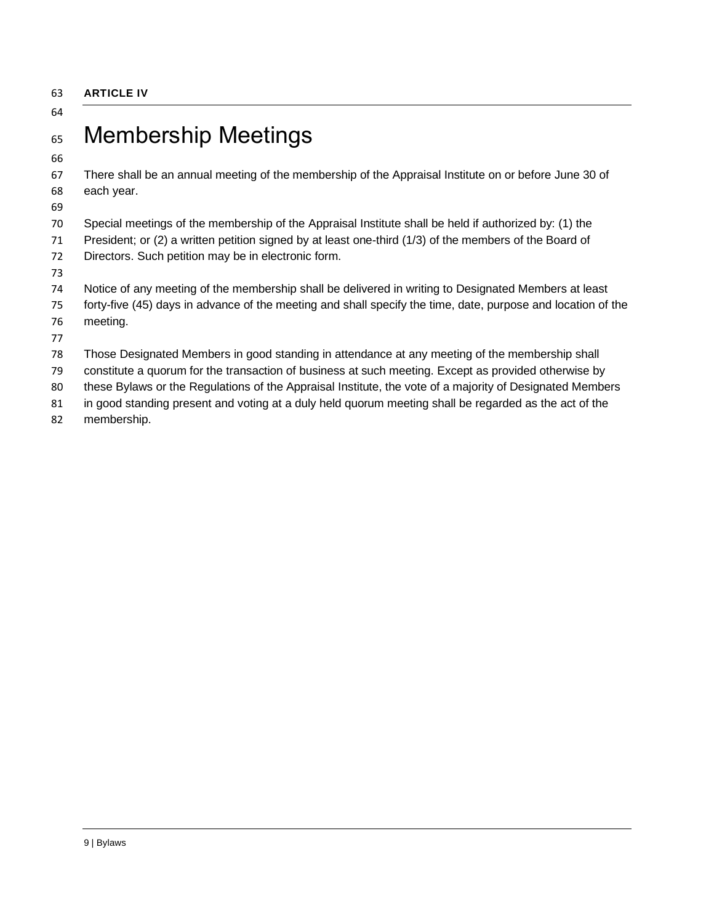#### <span id="page-8-0"></span>**ARTICLE IV**

#### 

# <span id="page-8-1"></span>Membership Meetings

 There shall be an annual meeting of the membership of the Appraisal Institute on or before June 30 of each year.

Special meetings of the membership of the Appraisal Institute shall be held if authorized by: (1) the

President; or (2) a written petition signed by at least one-third (1/3) of the members of the Board of

Directors. Such petition may be in electronic form.

 Notice of any meeting of the membership shall be delivered in writing to Designated Members at least forty-five (45) days in advance of the meeting and shall specify the time, date, purpose and location of the

- meeting.
- 

Those Designated Members in good standing in attendance at any meeting of the membership shall

constitute a quorum for the transaction of business at such meeting. Except as provided otherwise by

these Bylaws or the Regulations of the Appraisal Institute, the vote of a majority of Designated Members

in good standing present and voting at a duly held quorum meeting shall be regarded as the act of the

membership.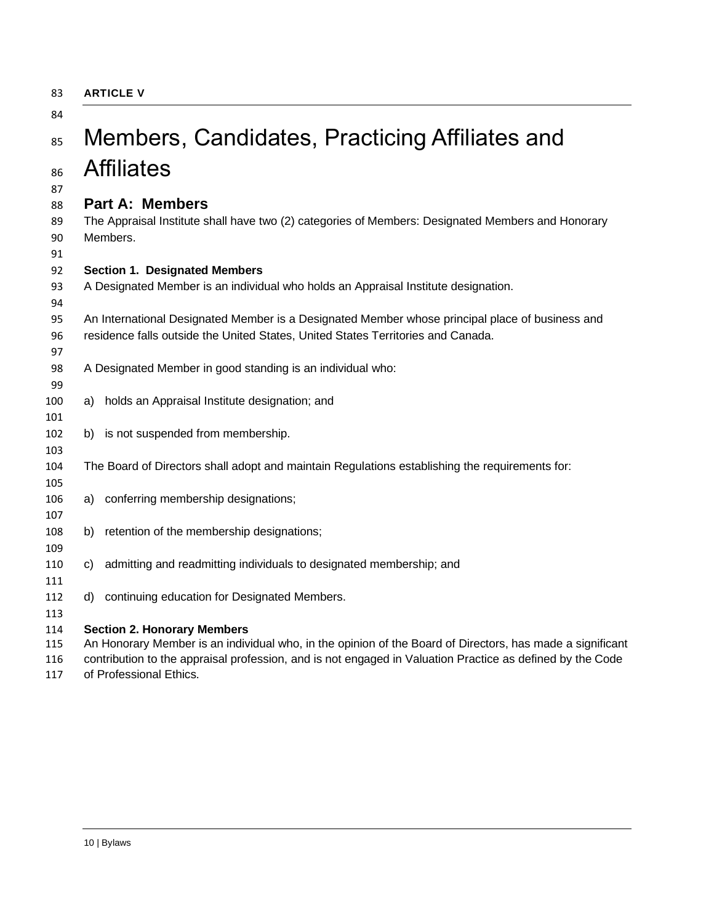<span id="page-9-0"></span>

| 83 | <b>ARTICLE V</b> |  |
|----|------------------|--|
|    |                  |  |

# <span id="page-9-1"></span>85 Members, Candidates, Practicing Affiliates and Affiliates

#### <span id="page-9-2"></span>**Part A: Members**

 The Appraisal Institute shall have two (2) categories of Members: Designated Members and Honorary Members.

#### **Section 1. Designated Members**

A Designated Member is an individual who holds an Appraisal Institute designation.

- An International Designated Member is a Designated Member whose principal place of business and residence falls outside the United States, United States Territories and Canada.
- A Designated Member in good standing is an individual who:
- a) holds an Appraisal Institute designation; and
- b) is not suspended from membership.
- The Board of Directors shall adopt and maintain Regulations establishing the requirements for:
- a) conferring membership designations;
- b) retention of the membership designations;
- c) admitting and readmitting individuals to designated membership; and
- d) continuing education for Designated Members.

#### **Section 2. Honorary Members**

An Honorary Member is an individual who, in the opinion of the Board of Directors, has made a significant

contribution to the appraisal profession, and is not engaged in Valuation Practice as defined by the Code

of Professional Ethics.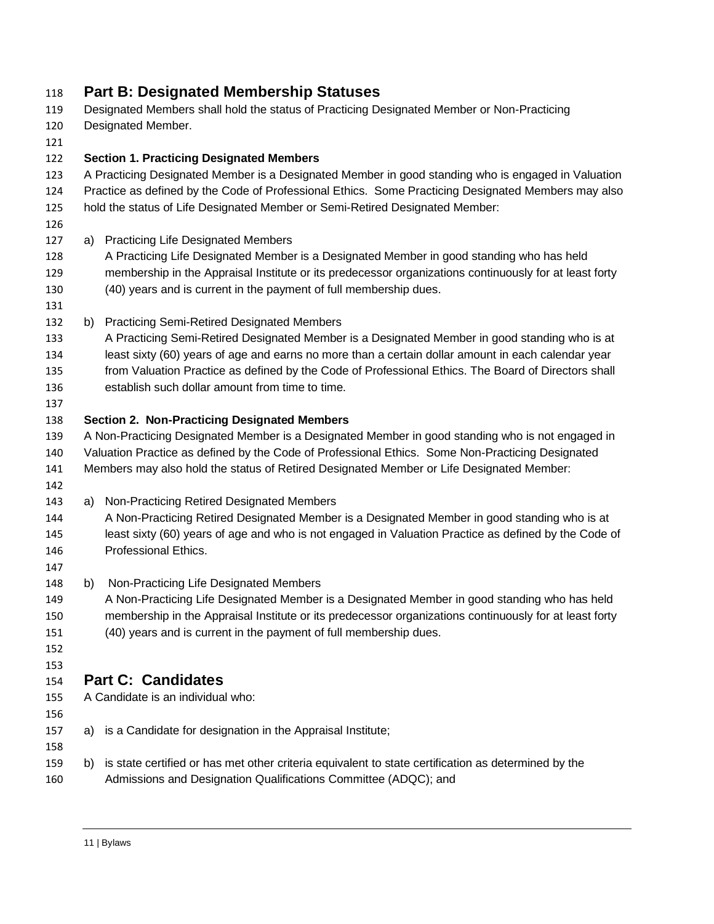## <span id="page-10-0"></span>**Part B: Designated Membership Statuses**

- Designated Members shall hold the status of Practicing Designated Member or Non-Practicing
- Designated Member.

#### **Section 1. Practicing Designated Members**

- A Practicing Designated Member is a Designated Member in good standing who is engaged in Valuation Practice as defined by the Code of Professional Ethics. Some Practicing Designated Members may also hold the status of Life Designated Member or Semi-Retired Designated Member:
- 
- a) Practicing Life Designated Members
- A Practicing Life Designated Member is a Designated Member in good standing who has held membership in the Appraisal Institute or its predecessor organizations continuously for at least forty (40) years and is current in the payment of full membership dues.
- 
- b) Practicing Semi-Retired Designated Members
- A Practicing Semi-Retired Designated Member is a Designated Member in good standing who is at least sixty (60) years of age and earns no more than a certain dollar amount in each calendar year from Valuation Practice as defined by the Code of Professional Ethics. The Board of Directors shall establish such dollar amount from time to time.
- 

#### **Section 2. Non-Practicing Designated Members**

- A Non-Practicing Designated Member is a Designated Member in good standing who is not engaged in Valuation Practice as defined by the Code of Professional Ethics. Some Non-Practicing Designated Members may also hold the status of Retired Designated Member or Life Designated Member:
- 
- a) Non-Practicing Retired Designated Members
- A Non-Practicing Retired Designated Member is a Designated Member in good standing who is at least sixty (60) years of age and who is not engaged in Valuation Practice as defined by the Code of Professional Ethics.
- 
- b) Non-Practicing Life Designated Members
- A Non-Practicing Life Designated Member is a Designated Member in good standing who has held membership in the Appraisal Institute or its predecessor organizations continuously for at least forty (40) years and is current in the payment of full membership dues.
- 

#### <span id="page-10-1"></span> **Part C: Candidates**

- A Candidate is an individual who:
- 

- a) is a Candidate for designation in the Appraisal Institute;
- b) is state certified or has met other criteria equivalent to state certification as determined by the
- Admissions and Designation Qualifications Committee (ADQC); and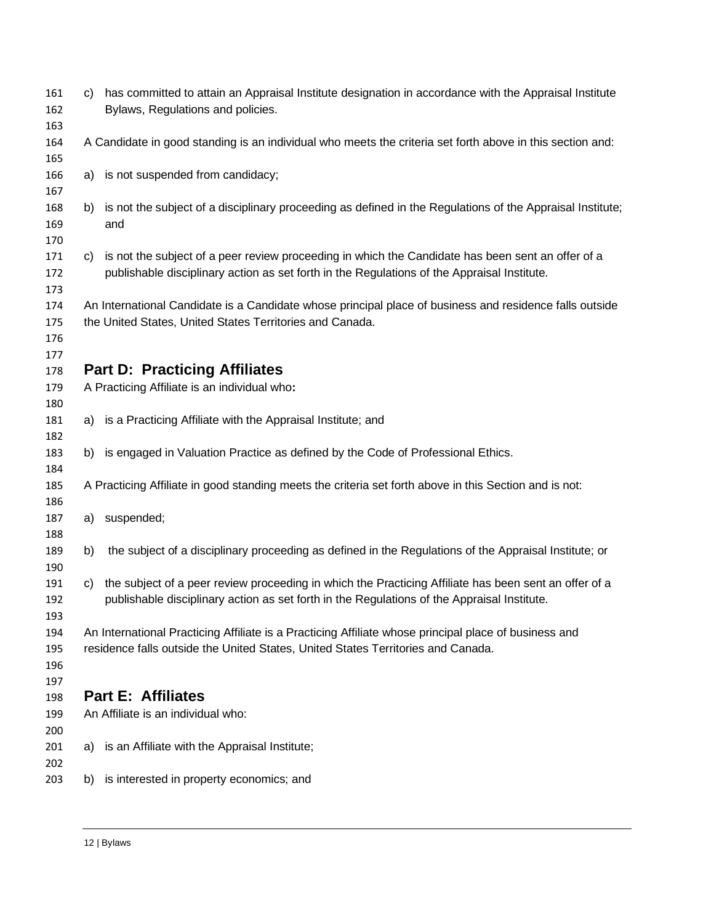<span id="page-11-1"></span><span id="page-11-0"></span>

| 161<br>162 | C)  | has committed to attain an Appraisal Institute designation in accordance with the Appraisal Institute<br>Bylaws, Regulations and policies. |
|------------|-----|--------------------------------------------------------------------------------------------------------------------------------------------|
| 163        |     |                                                                                                                                            |
| 164        |     | A Candidate in good standing is an individual who meets the criteria set forth above in this section and:                                  |
| 165        |     |                                                                                                                                            |
| 166        | a)  | is not suspended from candidacy;                                                                                                           |
| 167        |     |                                                                                                                                            |
| 168        | b)  | is not the subject of a disciplinary proceeding as defined in the Regulations of the Appraisal Institute;                                  |
| 169        |     | and                                                                                                                                        |
| 170        |     |                                                                                                                                            |
| 171        | C)  | is not the subject of a peer review proceeding in which the Candidate has been sent an offer of a                                          |
| 172        |     | publishable disciplinary action as set forth in the Regulations of the Appraisal Institute.                                                |
| 173        |     |                                                                                                                                            |
| 174        |     | An International Candidate is a Candidate whose principal place of business and residence falls outside                                    |
| 175        |     | the United States, United States Territories and Canada.                                                                                   |
| 176        |     |                                                                                                                                            |
| 177        |     |                                                                                                                                            |
| 178        |     | <b>Part D: Practicing Affiliates</b>                                                                                                       |
| 179        |     | A Practicing Affiliate is an individual who:                                                                                               |
| 180        |     |                                                                                                                                            |
| 181        |     | a) is a Practicing Affiliate with the Appraisal Institute; and                                                                             |
| 182        |     |                                                                                                                                            |
| 183        |     | b) is engaged in Valuation Practice as defined by the Code of Professional Ethics.                                                         |
| 184        |     |                                                                                                                                            |
| 185        |     | A Practicing Affiliate in good standing meets the criteria set forth above in this Section and is not:                                     |
| 186        |     |                                                                                                                                            |
| 187        |     | a) suspended;                                                                                                                              |
| 188        |     |                                                                                                                                            |
| 189        | b)  | the subject of a disciplinary proceeding as defined in the Regulations of the Appraisal Institute; or                                      |
| 190        |     |                                                                                                                                            |
| 191        | C). | the subject of a peer review proceeding in which the Practicing Affiliate has been sent an offer of a                                      |
| 192        |     | publishable disciplinary action as set forth in the Regulations of the Appraisal Institute.                                                |
| 193        |     |                                                                                                                                            |
| 194        |     | An International Practicing Affiliate is a Practicing Affiliate whose principal place of business and                                      |
| 195        |     | residence falls outside the United States, United States Territories and Canada.                                                           |
| 196        |     |                                                                                                                                            |
| 197        |     |                                                                                                                                            |
| 198        |     | <b>Part E: Affiliates</b>                                                                                                                  |
| 199        |     | An Affiliate is an individual who:                                                                                                         |
| 200        |     |                                                                                                                                            |
| 201        | a)  | is an Affiliate with the Appraisal Institute;                                                                                              |
| 202        |     |                                                                                                                                            |
| 203        | b)  | is interested in property economics; and                                                                                                   |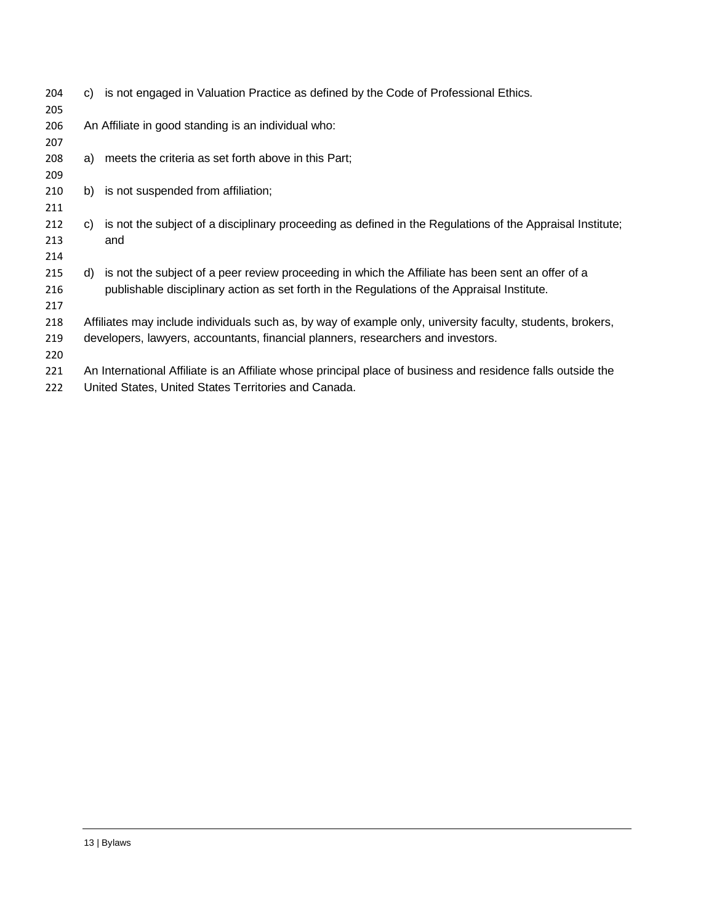| 204 |    | c) is not engaged in Valuation Practice as defined by the Code of Professional Ethics.                       |
|-----|----|--------------------------------------------------------------------------------------------------------------|
| 205 |    |                                                                                                              |
| 206 |    | An Affiliate in good standing is an individual who:                                                          |
| 207 |    |                                                                                                              |
| 208 |    | a) meets the criteria as set forth above in this Part;                                                       |
| 209 |    |                                                                                                              |
| 210 | b) | is not suspended from affiliation;                                                                           |
| 211 |    |                                                                                                              |
| 212 |    | c) is not the subject of a disciplinary proceeding as defined in the Regulations of the Appraisal Institute; |
| 213 |    | and                                                                                                          |
| 214 |    |                                                                                                              |
| 215 |    | d) is not the subject of a peer review proceeding in which the Affiliate has been sent an offer of a         |
| 216 |    | publishable disciplinary action as set forth in the Regulations of the Appraisal Institute.                  |
| 217 |    |                                                                                                              |
| 218 |    | Affiliates may include individuals such as, by way of example only, university faculty, students, brokers,   |
| 219 |    | developers, lawyers, accountants, financial planners, researchers and investors.                             |
| 220 |    |                                                                                                              |
| 221 |    | An International Affiliate is an Affiliate whose principal place of business and residence falls outside the |
| 222 |    | United States, United States Territories and Canada.                                                         |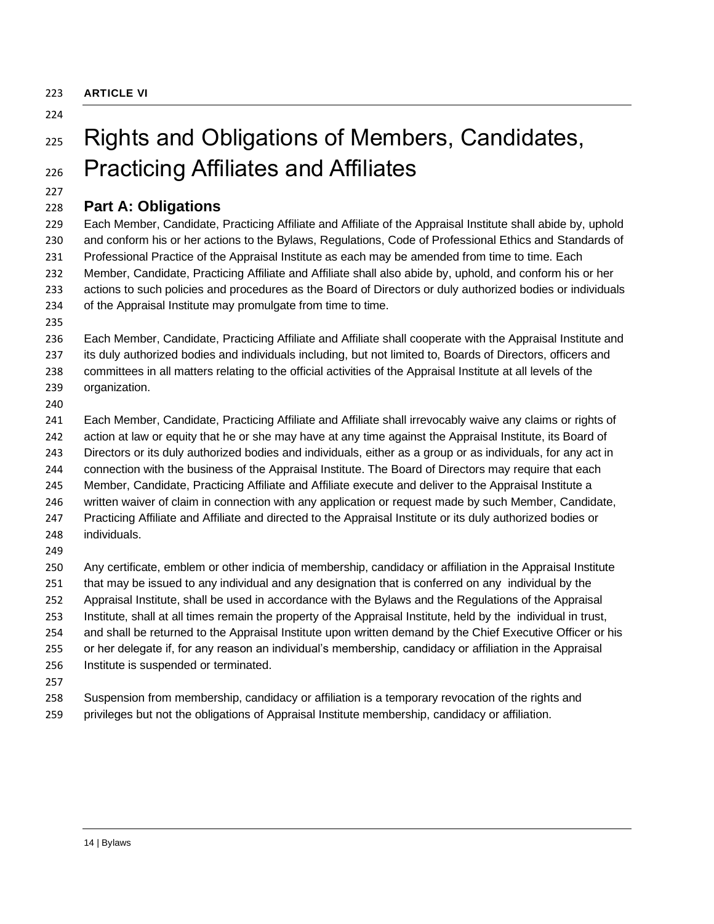<span id="page-13-0"></span>**ARTICLE VI**

#### 

# <span id="page-13-1"></span>225 Rights and Obligations of Members, Candidates, Practicing Affiliates and Affiliates

## <span id="page-13-2"></span>**Part A: Obligations**

 Each Member, Candidate, Practicing Affiliate and Affiliate of the Appraisal Institute shall abide by, uphold and conform his or her actions to the Bylaws, Regulations, Code of Professional Ethics and Standards of Professional Practice of the Appraisal Institute as each may be amended from time to time. Each Member, Candidate, Practicing Affiliate and Affiliate shall also abide by, uphold, and conform his or her actions to such policies and procedures as the Board of Directors or duly authorized bodies or individuals of the Appraisal Institute may promulgate from time to time.

 Each Member, Candidate, Practicing Affiliate and Affiliate shall cooperate with the Appraisal Institute and its duly authorized bodies and individuals including, but not limited to, Boards of Directors, officers and

 committees in all matters relating to the official activities of the Appraisal Institute at all levels of the organization.

 Each Member, Candidate, Practicing Affiliate and Affiliate shall irrevocably waive any claims or rights of action at law or equity that he or she may have at any time against the Appraisal Institute, its Board of Directors or its duly authorized bodies and individuals, either as a group or as individuals, for any act in connection with the business of the Appraisal Institute. The Board of Directors may require that each Member, Candidate, Practicing Affiliate and Affiliate execute and deliver to the Appraisal Institute a written waiver of claim in connection with any application or request made by such Member, Candidate, Practicing Affiliate and Affiliate and directed to the Appraisal Institute or its duly authorized bodies or individuals. 

 Any certificate, emblem or other indicia of membership, candidacy or affiliation in the Appraisal Institute that may be issued to any individual and any designation that is conferred on any individual by the Appraisal Institute, shall be used in accordance with the Bylaws and the Regulations of the Appraisal

Institute, shall at all times remain the property of the Appraisal Institute, held by the individual in trust,

 and shall be returned to the Appraisal Institute upon written demand by the Chief Executive Officer or his or her delegate if, for any reason an individual's membership, candidacy or affiliation in the Appraisal

- Institute is suspended or terminated.
- 

 Suspension from membership, candidacy or affiliation is a temporary revocation of the rights and privileges but not the obligations of Appraisal Institute membership, candidacy or affiliation.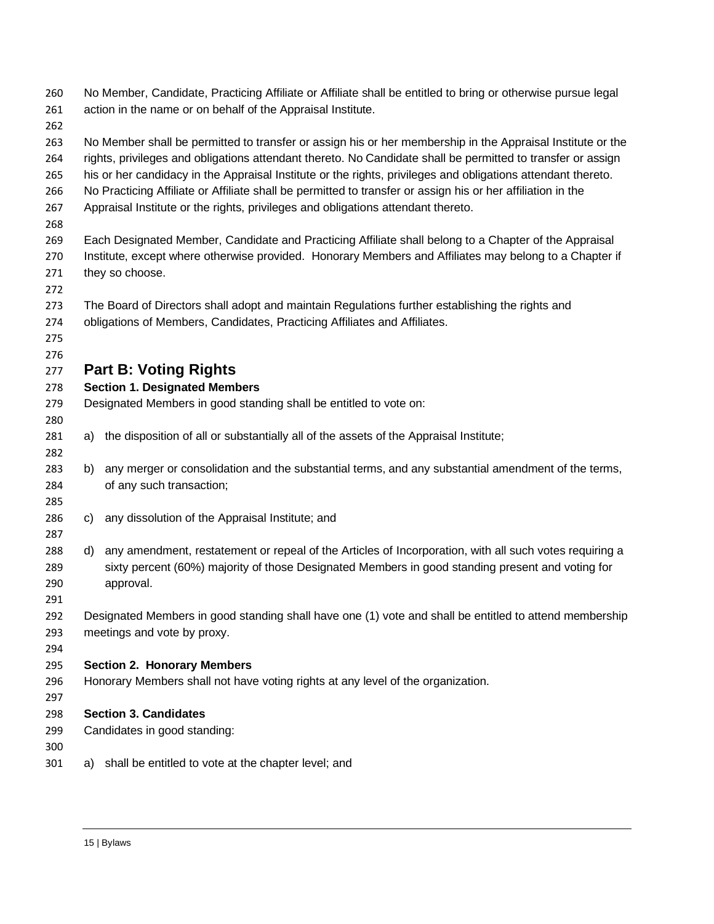<span id="page-14-0"></span>

| 260<br>261 |    | No Member, Candidate, Practicing Affiliate or Affiliate shall be entitled to bring or otherwise pursue legal<br>action in the name or on behalf of the Appraisal Institute.                                |
|------------|----|------------------------------------------------------------------------------------------------------------------------------------------------------------------------------------------------------------|
| 262        |    |                                                                                                                                                                                                            |
| 263        |    | No Member shall be permitted to transfer or assign his or her membership in the Appraisal Institute or the                                                                                                 |
| 264        |    | rights, privileges and obligations attendant thereto. No Candidate shall be permitted to transfer or assign                                                                                                |
| 265        |    | his or her candidacy in the Appraisal Institute or the rights, privileges and obligations attendant thereto.                                                                                               |
| 266<br>267 |    | No Practicing Affiliate or Affiliate shall be permitted to transfer or assign his or her affiliation in the<br>Appraisal Institute or the rights, privileges and obligations attendant thereto.            |
| 268        |    |                                                                                                                                                                                                            |
| 269        |    | Each Designated Member, Candidate and Practicing Affiliate shall belong to a Chapter of the Appraisal                                                                                                      |
| 270        |    | Institute, except where otherwise provided. Honorary Members and Affiliates may belong to a Chapter if                                                                                                     |
| 271        |    | they so choose.                                                                                                                                                                                            |
| 272        |    |                                                                                                                                                                                                            |
| 273        |    | The Board of Directors shall adopt and maintain Regulations further establishing the rights and                                                                                                            |
| 274        |    | obligations of Members, Candidates, Practicing Affiliates and Affiliates.                                                                                                                                  |
| 275        |    |                                                                                                                                                                                                            |
| 276        |    |                                                                                                                                                                                                            |
| 277        |    | <b>Part B: Voting Rights</b>                                                                                                                                                                               |
| 278        |    | <b>Section 1. Designated Members</b>                                                                                                                                                                       |
| 279        |    | Designated Members in good standing shall be entitled to vote on:                                                                                                                                          |
| 280        |    |                                                                                                                                                                                                            |
| 281        | a) | the disposition of all or substantially all of the assets of the Appraisal Institute;                                                                                                                      |
| 282        |    |                                                                                                                                                                                                            |
| 283        | b) | any merger or consolidation and the substantial terms, and any substantial amendment of the terms,                                                                                                         |
| 284        |    | of any such transaction;                                                                                                                                                                                   |
| 285        |    |                                                                                                                                                                                                            |
| 286        | C) | any dissolution of the Appraisal Institute; and                                                                                                                                                            |
| 287        |    |                                                                                                                                                                                                            |
| 288<br>289 | d) | any amendment, restatement or repeal of the Articles of Incorporation, with all such votes requiring a<br>sixty percent (60%) majority of those Designated Members in good standing present and voting for |
| 290        |    | approval.                                                                                                                                                                                                  |
| 291        |    |                                                                                                                                                                                                            |
| 292        |    | Designated Members in good standing shall have one (1) vote and shall be entitled to attend membership                                                                                                     |
| 293        |    | meetings and vote by proxy.                                                                                                                                                                                |
| 294        |    |                                                                                                                                                                                                            |
| 295        |    | <b>Section 2. Honorary Members</b>                                                                                                                                                                         |
| 296        |    | Honorary Members shall not have voting rights at any level of the organization.                                                                                                                            |
| 297        |    |                                                                                                                                                                                                            |
| 298        |    | <b>Section 3. Candidates</b>                                                                                                                                                                               |
| 299        |    | Candidates in good standing:                                                                                                                                                                               |
| 300        |    |                                                                                                                                                                                                            |
| 301        | a) | shall be entitled to vote at the chapter level; and                                                                                                                                                        |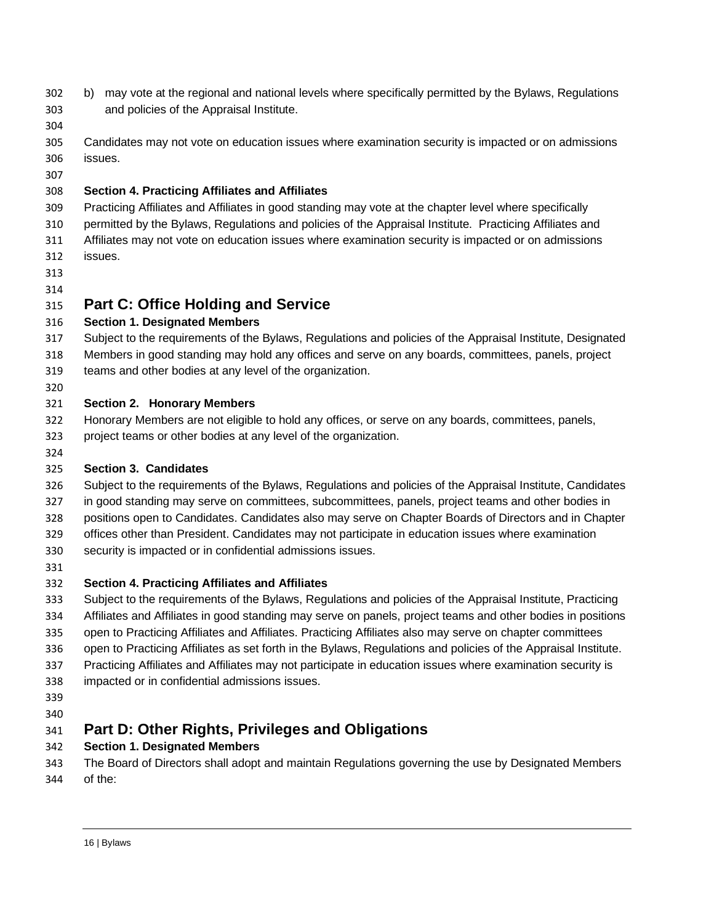- b) may vote at the regional and national levels where specifically permitted by the Bylaws, Regulations and policies of the Appraisal Institute.
- 
- Candidates may not vote on education issues where examination security is impacted or on admissions issues.
- 

#### **Section 4. Practicing Affiliates and Affiliates**

- Practicing Affiliates and Affiliates in good standing may vote at the chapter level where specifically
- permitted by the Bylaws, Regulations and policies of the Appraisal Institute. Practicing Affiliates and
- Affiliates may not vote on education issues where examination security is impacted or on admissions
- issues.
- 

## <span id="page-15-0"></span>**Part C: Office Holding and Service**

#### **Section 1. Designated Members**

- Subject to the requirements of the Bylaws, Regulations and policies of the Appraisal Institute, Designated
- Members in good standing may hold any offices and serve on any boards, committees, panels, project
- teams and other bodies at any level of the organization.
- 

### **Section 2. Honorary Members**

- Honorary Members are not eligible to hold any offices, or serve on any boards, committees, panels,
- project teams or other bodies at any level of the organization.
- 

#### **Section 3. Candidates**

- Subject to the requirements of the Bylaws, Regulations and policies of the Appraisal Institute, Candidates
- in good standing may serve on committees, subcommittees, panels, project teams and other bodies in
- positions open to Candidates. Candidates also may serve on Chapter Boards of Directors and in Chapter
- offices other than President. Candidates may not participate in education issues where examination
- security is impacted or in confidential admissions issues.
- 

## **Section 4. Practicing Affiliates and Affiliates**

- Subject to the requirements of the Bylaws, Regulations and policies of the Appraisal Institute, Practicing Affiliates and Affiliates in good standing may serve on panels, project teams and other bodies in positions
- open to Practicing Affiliates and Affiliates. Practicing Affiliates also may serve on chapter committees
- open to Practicing Affiliates as set forth in the Bylaws, Regulations and policies of the Appraisal Institute.
- Practicing Affiliates and Affiliates may not participate in education issues where examination security is
- impacted or in confidential admissions issues.

 

## <span id="page-15-1"></span>**Part D: Other Rights, Privileges and Obligations**

## **Section 1. Designated Members**

- The Board of Directors shall adopt and maintain Regulations governing the use by Designated Members
- of the: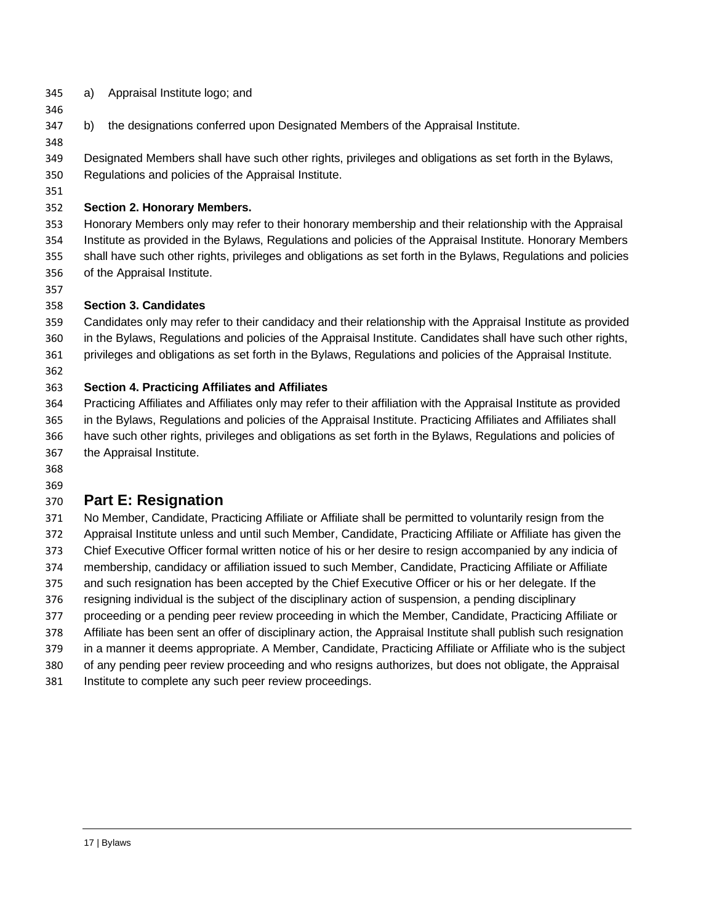- a) Appraisal Institute logo; and
- b) the designations conferred upon Designated Members of the Appraisal Institute.

 Designated Members shall have such other rights, privileges and obligations as set forth in the Bylaws, Regulations and policies of the Appraisal Institute.

#### **Section 2. Honorary Members.**

 Honorary Members only may refer to their honorary membership and their relationship with the Appraisal Institute as provided in the Bylaws, Regulations and policies of the Appraisal Institute. Honorary Members shall have such other rights, privileges and obligations as set forth in the Bylaws, Regulations and policies of the Appraisal Institute.

#### **Section 3. Candidates**

 Candidates only may refer to their candidacy and their relationship with the Appraisal Institute as provided in the Bylaws, Regulations and policies of the Appraisal Institute. Candidates shall have such other rights,

- privileges and obligations as set forth in the Bylaws, Regulations and policies of the Appraisal Institute.
- 

#### **Section 4. Practicing Affiliates and Affiliates**

 Practicing Affiliates and Affiliates only may refer to their affiliation with the Appraisal Institute as provided in the Bylaws, Regulations and policies of the Appraisal Institute. Practicing Affiliates and Affiliates shall have such other rights, privileges and obligations as set forth in the Bylaws, Regulations and policies of the Appraisal Institute.

- 
- 

## <span id="page-16-0"></span>**Part E: Resignation**

No Member, Candidate, Practicing Affiliate or Affiliate shall be permitted to voluntarily resign from the

- Appraisal Institute unless and until such Member, Candidate, Practicing Affiliate or Affiliate has given the
- Chief Executive Officer formal written notice of his or her desire to resign accompanied by any indicia of
- membership, candidacy or affiliation issued to such Member, Candidate, Practicing Affiliate or Affiliate and such resignation has been accepted by the Chief Executive Officer or his or her delegate. If the
- resigning individual is the subject of the disciplinary action of suspension, a pending disciplinary
- proceeding or a pending peer review proceeding in which the Member, Candidate, Practicing Affiliate or
- Affiliate has been sent an offer of disciplinary action, the Appraisal Institute shall publish such resignation
- in a manner it deems appropriate. A Member, Candidate, Practicing Affiliate or Affiliate who is the subject
- of any pending peer review proceeding and who resigns authorizes, but does not obligate, the Appraisal
- Institute to complete any such peer review proceedings.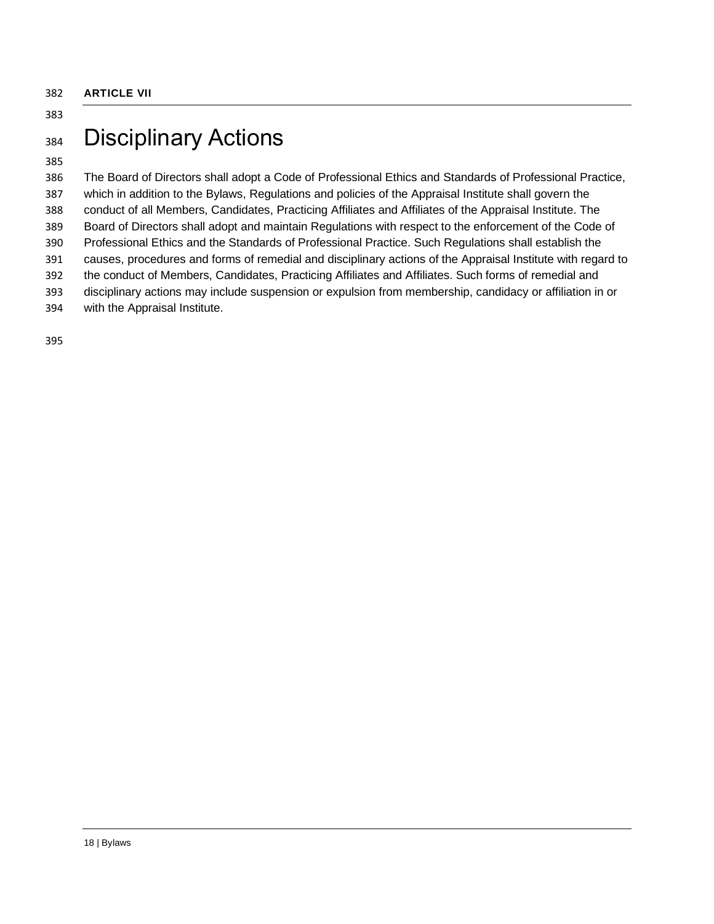# <span id="page-17-1"></span><span id="page-17-0"></span>384 Disciplinary Actions

#### 

 The Board of Directors shall adopt a Code of Professional Ethics and Standards of Professional Practice, which in addition to the Bylaws, Regulations and policies of the Appraisal Institute shall govern the conduct of all Members, Candidates, Practicing Affiliates and Affiliates of the Appraisal Institute. The Board of Directors shall adopt and maintain Regulations with respect to the enforcement of the Code of Professional Ethics and the Standards of Professional Practice. Such Regulations shall establish the causes, procedures and forms of remedial and disciplinary actions of the Appraisal Institute with regard to the conduct of Members, Candidates, Practicing Affiliates and Affiliates. Such forms of remedial and disciplinary actions may include suspension or expulsion from membership, candidacy or affiliation in or with the Appraisal Institute.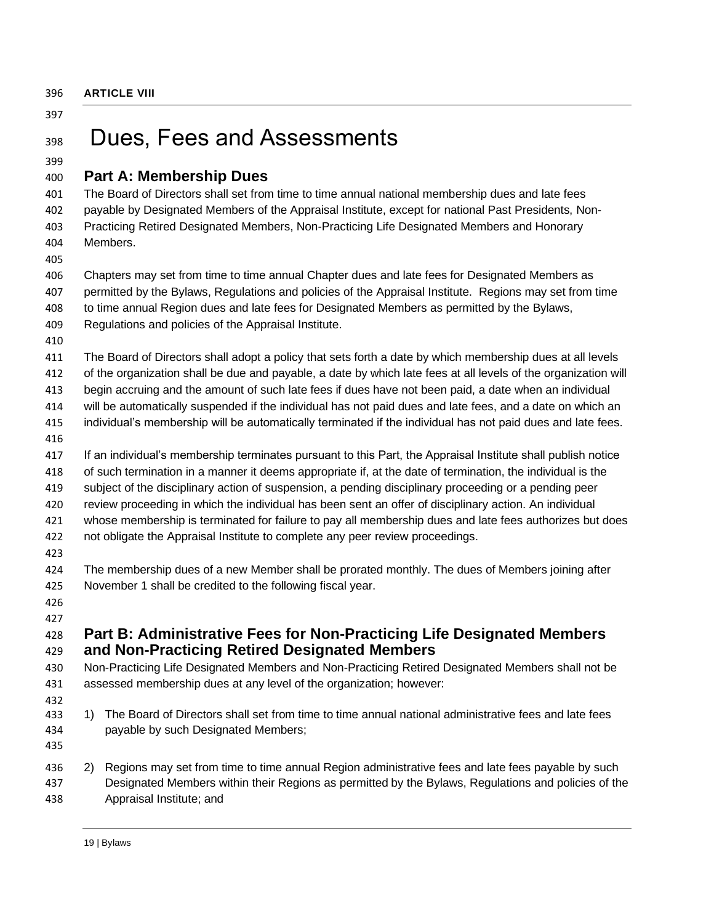# <span id="page-18-1"></span><span id="page-18-0"></span>Dues, Fees and Assessments

### <span id="page-18-2"></span>**Part A: Membership Dues**

 The Board of Directors shall set from time to time annual national membership dues and late fees payable by Designated Members of the Appraisal Institute, except for national Past Presidents, Non- Practicing Retired Designated Members, Non-Practicing Life Designated Members and Honorary Members.

 Chapters may set from time to time annual Chapter dues and late fees for Designated Members as permitted by the Bylaws, Regulations and policies of the Appraisal Institute. Regions may set from time to time annual Region dues and late fees for Designated Members as permitted by the Bylaws, Regulations and policies of the Appraisal Institute.

The Board of Directors shall adopt a policy that sets forth a date by which membership dues at all levels

of the organization shall be due and payable, a date by which late fees at all levels of the organization will

begin accruing and the amount of such late fees if dues have not been paid, a date when an individual

will be automatically suspended if the individual has not paid dues and late fees, and a date on which an

- individual's membership will be automatically terminated if the individual has not paid dues and late fees.
- If an individual's membership terminates pursuant to this Part, the Appraisal Institute shall publish notice
- of such termination in a manner it deems appropriate if, at the date of termination, the individual is the
- subject of the disciplinary action of suspension, a pending disciplinary proceeding or a pending peer
- review proceeding in which the individual has been sent an offer of disciplinary action. An individual
- whose membership is terminated for failure to pay all membership dues and late fees authorizes but does

not obligate the Appraisal Institute to complete any peer review proceedings.

 The membership dues of a new Member shall be prorated monthly. The dues of Members joining after November 1 shall be credited to the following fiscal year.

#### 

## <span id="page-18-3"></span> **Part B: Administrative Fees for Non-Practicing Life Designated Members and Non-Practicing Retired Designated Members**

 Non-Practicing Life Designated Members and Non-Practicing Retired Designated Members shall not be assessed membership dues at any level of the organization; however:

- 
- 1) The Board of Directors shall set from time to time annual national administrative fees and late fees payable by such Designated Members;
- 
- 2) Regions may set from time to time annual Region administrative fees and late fees payable by such Designated Members within their Regions as permitted by the Bylaws, Regulations and policies of the Appraisal Institute; and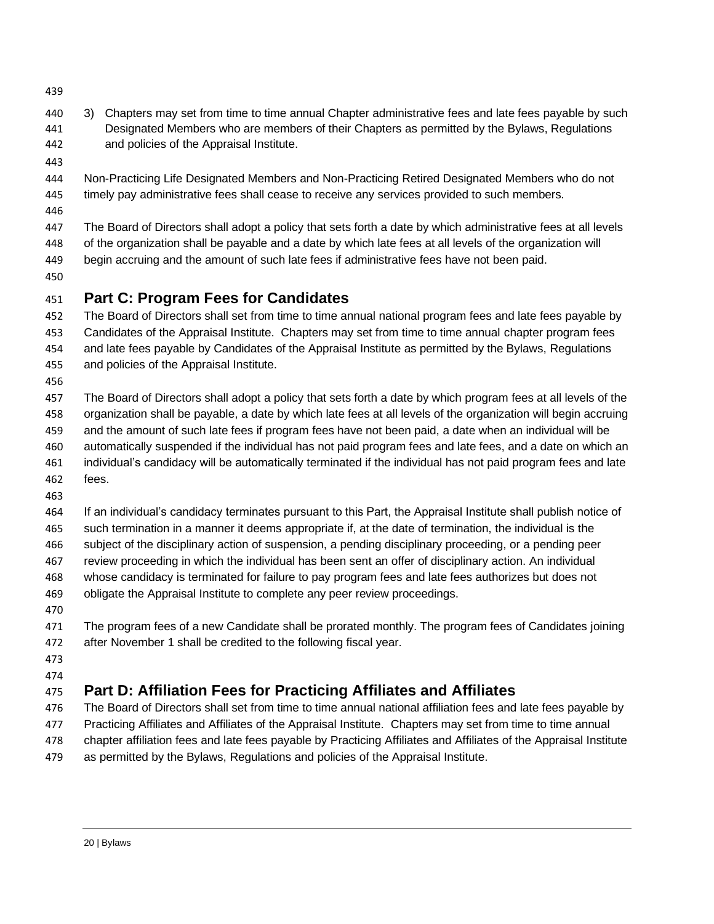- 
- 3) Chapters may set from time to time annual Chapter administrative fees and late fees payable by such Designated Members who are members of their Chapters as permitted by the Bylaws, Regulations and policies of the Appraisal Institute.
- 
- Non-Practicing Life Designated Members and Non-Practicing Retired Designated Members who do not timely pay administrative fees shall cease to receive any services provided to such members.
- 

 The Board of Directors shall adopt a policy that sets forth a date by which administrative fees at all levels of the organization shall be payable and a date by which late fees at all levels of the organization will begin accruing and the amount of such late fees if administrative fees have not been paid.

## <span id="page-19-0"></span>**Part C: Program Fees for Candidates**

 The Board of Directors shall set from time to time annual national program fees and late fees payable by Candidates of the Appraisal Institute. Chapters may set from time to time annual chapter program fees and late fees payable by Candidates of the Appraisal Institute as permitted by the Bylaws, Regulations and policies of the Appraisal Institute.

 The Board of Directors shall adopt a policy that sets forth a date by which program fees at all levels of the organization shall be payable, a date by which late fees at all levels of the organization will begin accruing and the amount of such late fees if program fees have not been paid, a date when an individual will be automatically suspended if the individual has not paid program fees and late fees, and a date on which an individual's candidacy will be automatically terminated if the individual has not paid program fees and late fees.

 If an individual's candidacy terminates pursuant to this Part, the Appraisal Institute shall publish notice of such termination in a manner it deems appropriate if, at the date of termination, the individual is the

subject of the disciplinary action of suspension, a pending disciplinary proceeding, or a pending peer

review proceeding in which the individual has been sent an offer of disciplinary action. An individual

- whose candidacy is terminated for failure to pay program fees and late fees authorizes but does not
- obligate the Appraisal Institute to complete any peer review proceedings.
- 

 The program fees of a new Candidate shall be prorated monthly. The program fees of Candidates joining after November 1 shall be credited to the following fiscal year.

 

## <span id="page-19-1"></span>**Part D: Affiliation Fees for Practicing Affiliates and Affiliates**

 The Board of Directors shall set from time to time annual national affiliation fees and late fees payable by Practicing Affiliates and Affiliates of the Appraisal Institute. Chapters may set from time to time annual chapter affiliation fees and late fees payable by Practicing Affiliates and Affiliates of the Appraisal Institute as permitted by the Bylaws, Regulations and policies of the Appraisal Institute.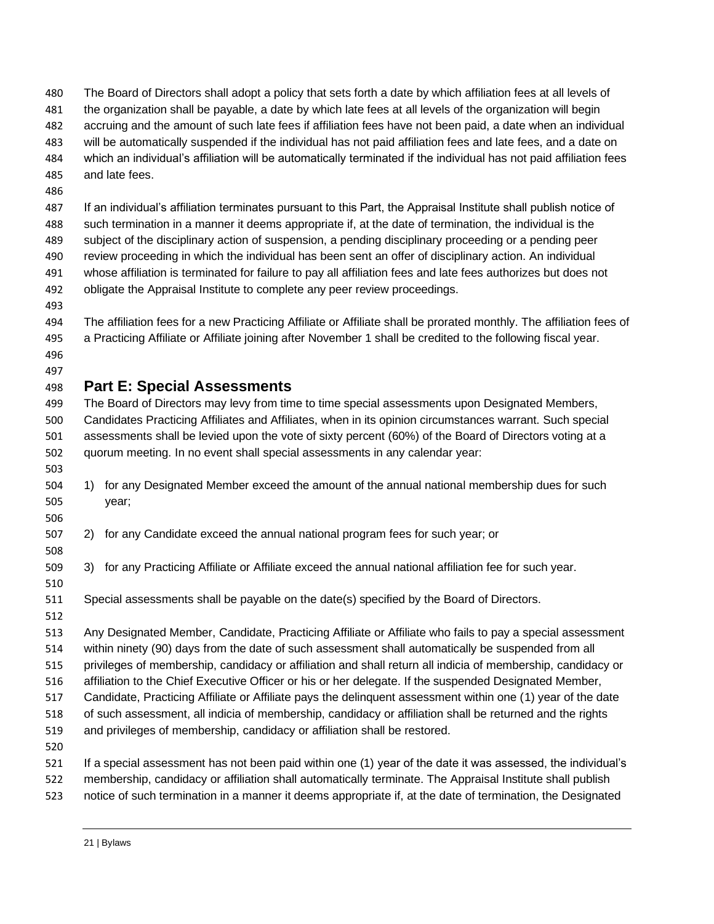The Board of Directors shall adopt a policy that sets forth a date by which affiliation fees at all levels of the organization shall be payable, a date by which late fees at all levels of the organization will begin accruing and the amount of such late fees if affiliation fees have not been paid, a date when an individual will be automatically suspended if the individual has not paid affiliation fees and late fees, and a date on which an individual's affiliation will be automatically terminated if the individual has not paid affiliation fees and late fees. If an individual's affiliation terminates pursuant to this Part, the Appraisal Institute shall publish notice of such termination in a manner it deems appropriate if, at the date of termination, the individual is the

- subject of the disciplinary action of suspension, a pending disciplinary proceeding or a pending peer review proceeding in which the individual has been sent an offer of disciplinary action. An individual whose affiliation is terminated for failure to pay all affiliation fees and late fees authorizes but does not obligate the Appraisal Institute to complete any peer review proceedings.
- 

 The affiliation fees for a new Practicing Affiliate or Affiliate shall be prorated monthly. The affiliation fees of a Practicing Affiliate or Affiliate joining after November 1 shall be credited to the following fiscal year. 

## <span id="page-20-0"></span>**Part E: Special Assessments**

 The Board of Directors may levy from time to time special assessments upon Designated Members, Candidates Practicing Affiliates and Affiliates, when in its opinion circumstances warrant. Such special assessments shall be levied upon the vote of sixty percent (60%) of the Board of Directors voting at a quorum meeting. In no event shall special assessments in any calendar year:

- 1) for any Designated Member exceed the amount of the annual national membership dues for such year;
- 2) for any Candidate exceed the annual national program fees for such year; or
- 3) for any Practicing Affiliate or Affiliate exceed the annual national affiliation fee for such year.
- Special assessments shall be payable on the date(s) specified by the Board of Directors.
- 

 Any Designated Member, Candidate, Practicing Affiliate or Affiliate who fails to pay a special assessment within ninety (90) days from the date of such assessment shall automatically be suspended from all privileges of membership, candidacy or affiliation and shall return all indicia of membership, candidacy or affiliation to the Chief Executive Officer or his or her delegate. If the suspended Designated Member, Candidate, Practicing Affiliate or Affiliate pays the delinquent assessment within one (1) year of the date of such assessment, all indicia of membership, candidacy or affiliation shall be returned and the rights and privileges of membership, candidacy or affiliation shall be restored.

 If a special assessment has not been paid within one (1) year of the date it was assessed, the individual's membership, candidacy or affiliation shall automatically terminate. The Appraisal Institute shall publish notice of such termination in a manner it deems appropriate if, at the date of termination, the Designated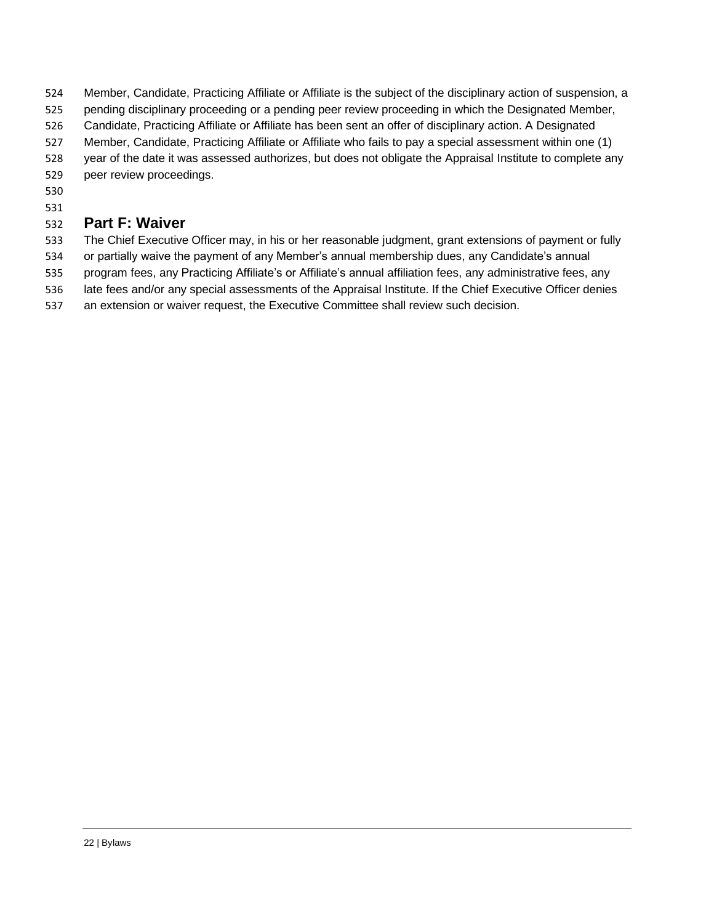- Member, Candidate, Practicing Affiliate or Affiliate is the subject of the disciplinary action of suspension, a
- pending disciplinary proceeding or a pending peer review proceeding in which the Designated Member,
- Candidate, Practicing Affiliate or Affiliate has been sent an offer of disciplinary action. A Designated
- Member, Candidate, Practicing Affiliate or Affiliate who fails to pay a special assessment within one (1)
- year of the date it was assessed authorizes, but does not obligate the Appraisal Institute to complete any
- peer review proceedings.
- 

## <span id="page-21-0"></span>**Part F: Waiver**

 The Chief Executive Officer may, in his or her reasonable judgment, grant extensions of payment or fully or partially waive the payment of any Member's annual membership dues, any Candidate's annual

program fees, any Practicing Affiliate's or Affiliate's annual affiliation fees, any administrative fees, any

late fees and/or any special assessments of the Appraisal Institute. If the Chief Executive Officer denies

an extension or waiver request, the Executive Committee shall review such decision.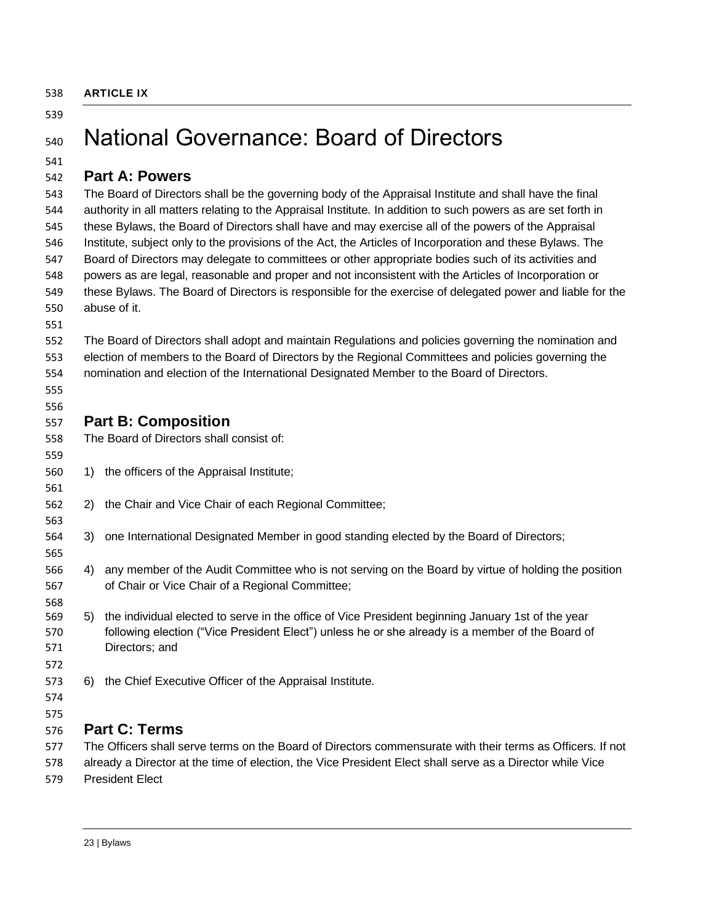<span id="page-22-0"></span>

| 538 | <b>ARTICLE IX</b> |  |
|-----|-------------------|--|
|     |                   |  |

# <span id="page-22-1"></span>National Governance: Board of Directors

### <span id="page-22-2"></span>**Part A: Powers**

 The Board of Directors shall be the governing body of the Appraisal Institute and shall have the final authority in all matters relating to the Appraisal Institute. In addition to such powers as are set forth in these Bylaws, the Board of Directors shall have and may exercise all of the powers of the Appraisal Institute, subject only to the provisions of the Act, the Articles of Incorporation and these Bylaws. The Board of Directors may delegate to committees or other appropriate bodies such of its activities and powers as are legal, reasonable and proper and not inconsistent with the Articles of Incorporation or these Bylaws. The Board of Directors is responsible for the exercise of delegated power and liable for the abuse of it.

#### The Board of Directors shall adopt and maintain Regulations and policies governing the nomination and election of members to the Board of Directors by the Regional Committees and policies governing the nomination and election of the International Designated Member to the Board of Directors.

 

## <span id="page-22-3"></span>**Part B: Composition**

- The Board of Directors shall consist of:
- 1) the officers of the Appraisal Institute;
- 2) the Chair and Vice Chair of each Regional Committee;
- 3) one International Designated Member in good standing elected by the Board of Directors;
- 4) any member of the Audit Committee who is not serving on the Board by virtue of holding the position of Chair or Vice Chair of a Regional Committee;
- 5) the individual elected to serve in the office of Vice President beginning January 1st of the year following election ("Vice President Elect") unless he or she already is a member of the Board of Directors; and
- 
- 6) the Chief Executive Officer of the Appraisal Institute.
- 
- 

## <span id="page-22-4"></span>**Part C: Terms**

- The Officers shall serve terms on the Board of Directors commensurate with their terms as Officers. If not
- already a Director at the time of election, the Vice President Elect shall serve as a Director while Vice
- President Elect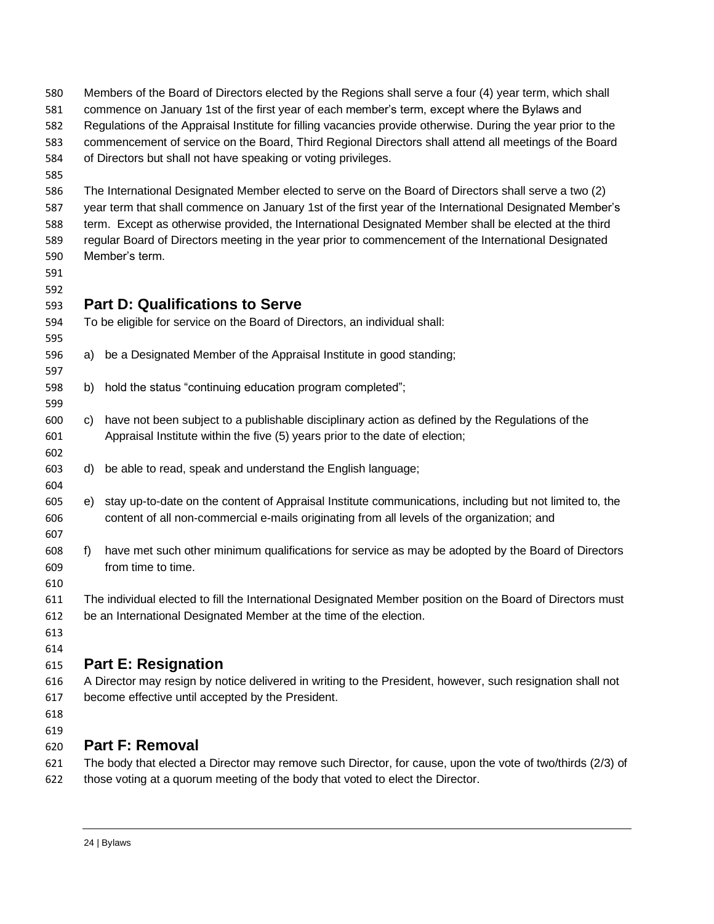<span id="page-23-0"></span>

| 580<br>581 |    | Members of the Board of Directors elected by the Regions shall serve a four (4) year term, which shall<br>commence on January 1st of the first year of each member's term, except where the Bylaws and |
|------------|----|--------------------------------------------------------------------------------------------------------------------------------------------------------------------------------------------------------|
| 582        |    | Regulations of the Appraisal Institute for filling vacancies provide otherwise. During the year prior to the                                                                                           |
| 583        |    | commencement of service on the Board, Third Regional Directors shall attend all meetings of the Board                                                                                                  |
| 584        |    | of Directors but shall not have speaking or voting privileges.                                                                                                                                         |
| 585        |    |                                                                                                                                                                                                        |
| 586        |    | The International Designated Member elected to serve on the Board of Directors shall serve a two (2)                                                                                                   |
| 587        |    | year term that shall commence on January 1st of the first year of the International Designated Member's                                                                                                |
| 588        |    | term. Except as otherwise provided, the International Designated Member shall be elected at the third                                                                                                  |
| 589        |    | regular Board of Directors meeting in the year prior to commencement of the International Designated                                                                                                   |
| 590        |    | Member's term.                                                                                                                                                                                         |
| 591        |    |                                                                                                                                                                                                        |
| 592        |    |                                                                                                                                                                                                        |
| 593        |    | <b>Part D: Qualifications to Serve</b>                                                                                                                                                                 |
| 594        |    | To be eligible for service on the Board of Directors, an individual shall:                                                                                                                             |
| 595        |    |                                                                                                                                                                                                        |
| 596        | a) | be a Designated Member of the Appraisal Institute in good standing;                                                                                                                                    |
| 597        |    |                                                                                                                                                                                                        |
| 598        | b) | hold the status "continuing education program completed";                                                                                                                                              |
| 599        |    |                                                                                                                                                                                                        |
| 600        | C) | have not been subject to a publishable disciplinary action as defined by the Regulations of the                                                                                                        |
| 601        |    | Appraisal Institute within the five (5) years prior to the date of election;                                                                                                                           |
| 602        |    |                                                                                                                                                                                                        |
| 603        | d) | be able to read, speak and understand the English language;                                                                                                                                            |
| 604        |    |                                                                                                                                                                                                        |
| 605        | e) | stay up-to-date on the content of Appraisal Institute communications, including but not limited to, the                                                                                                |
| 606        |    | content of all non-commercial e-mails originating from all levels of the organization; and                                                                                                             |
| 607        |    |                                                                                                                                                                                                        |
| 608        | f) | have met such other minimum qualifications for service as may be adopted by the Board of Directors                                                                                                     |
| 609        |    | from time to time.                                                                                                                                                                                     |
| 610        |    |                                                                                                                                                                                                        |
| 611        |    | The individual elected to fill the International Designated Member position on the Board of Directors must                                                                                             |
| 612        |    | be an International Designated Member at the time of the election.                                                                                                                                     |
| 613        |    |                                                                                                                                                                                                        |
| 614        |    |                                                                                                                                                                                                        |
| 615        |    | <b>Part E: Resignation</b>                                                                                                                                                                             |
| 616        |    | A Director may resign by notice delivered in writing to the President, however, such resignation shall not                                                                                             |
| 617        |    | become effective until accepted by the President.                                                                                                                                                      |
| 618        |    |                                                                                                                                                                                                        |
| 619        |    |                                                                                                                                                                                                        |

## <span id="page-23-2"></span><span id="page-23-1"></span>**Part F: Removal**

 The body that elected a Director may remove such Director, for cause, upon the vote of two/thirds (2/3) of those voting at a quorum meeting of the body that voted to elect the Director.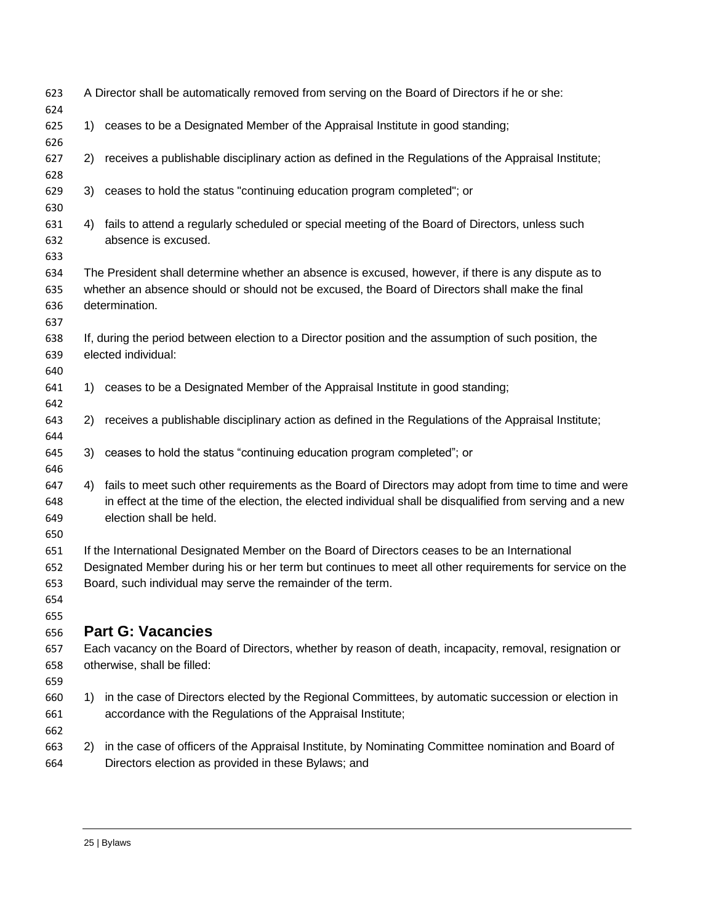<span id="page-24-0"></span>

| 623<br>624                      |    | A Director shall be automatically removed from serving on the Board of Directors if he or she:                                                                                                                                                                            |
|---------------------------------|----|---------------------------------------------------------------------------------------------------------------------------------------------------------------------------------------------------------------------------------------------------------------------------|
| 625<br>626                      | 1) | ceases to be a Designated Member of the Appraisal Institute in good standing;                                                                                                                                                                                             |
| 627<br>628                      | 2) | receives a publishable disciplinary action as defined in the Regulations of the Appraisal Institute;                                                                                                                                                                      |
| 629<br>630                      | 3) | ceases to hold the status "continuing education program completed"; or                                                                                                                                                                                                    |
| 631<br>632<br>633               | 4) | fails to attend a regularly scheduled or special meeting of the Board of Directors, unless such<br>absence is excused.                                                                                                                                                    |
| 634<br>635<br>636<br>637        |    | The President shall determine whether an absence is excused, however, if there is any dispute as to<br>whether an absence should or should not be excused, the Board of Directors shall make the final<br>determination.                                                  |
| 638<br>639<br>640               |    | If, during the period between election to a Director position and the assumption of such position, the<br>elected individual:                                                                                                                                             |
| 641<br>642                      | 1) | ceases to be a Designated Member of the Appraisal Institute in good standing;                                                                                                                                                                                             |
| 643<br>644                      | 2) | receives a publishable disciplinary action as defined in the Regulations of the Appraisal Institute;                                                                                                                                                                      |
| 645<br>646                      | 3) | ceases to hold the status "continuing education program completed"; or                                                                                                                                                                                                    |
| 647<br>648<br>649<br>650        | 4) | fails to meet such other requirements as the Board of Directors may adopt from time to time and were<br>in effect at the time of the election, the elected individual shall be disqualified from serving and a new<br>election shall be held.                             |
| 651<br>652<br>653<br>654<br>655 |    | If the International Designated Member on the Board of Directors ceases to be an International<br>Designated Member during his or her term but continues to meet all other requirements for service on the<br>Board, such individual may serve the remainder of the term. |
| 656                             |    | <b>Part G: Vacancies</b>                                                                                                                                                                                                                                                  |
| 657                             |    | Each vacancy on the Board of Directors, whether by reason of death, incapacity, removal, resignation or                                                                                                                                                                   |
| 658<br>659                      |    | otherwise, shall be filled:                                                                                                                                                                                                                                               |
| 660<br>661<br>662               | 1) | in the case of Directors elected by the Regional Committees, by automatic succession or election in<br>accordance with the Regulations of the Appraisal Institute;                                                                                                        |
| 663<br>664                      | 2) | in the case of officers of the Appraisal Institute, by Nominating Committee nomination and Board of<br>Directors election as provided in these Bylaws; and                                                                                                                |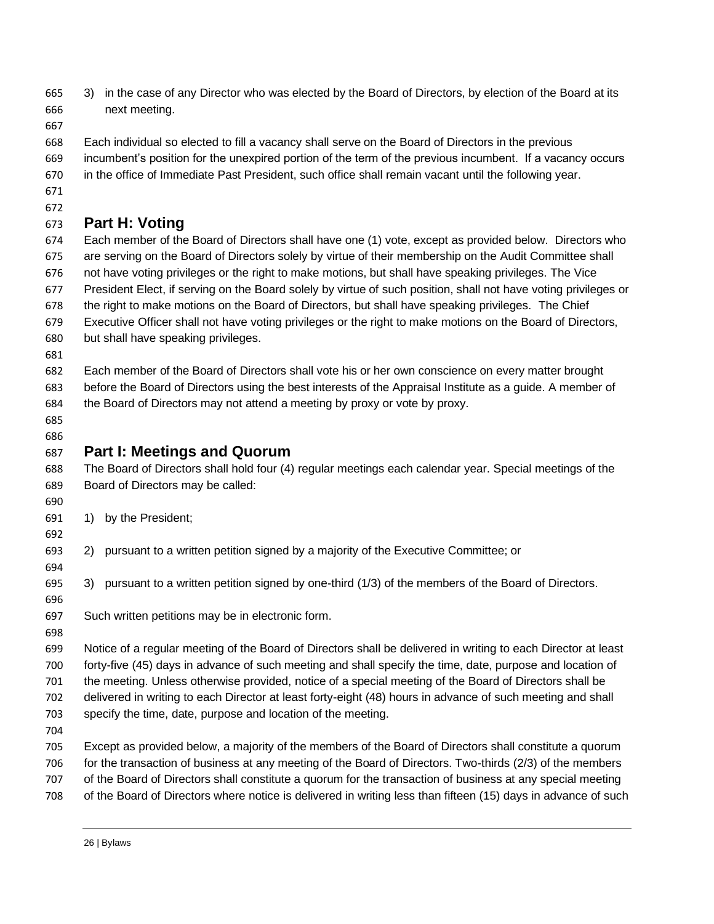- 3) in the case of any Director who was elected by the Board of Directors, by election of the Board at its next meeting.
- 
- Each individual so elected to fill a vacancy shall serve on the Board of Directors in the previous
- incumbent's position for the unexpired portion of the term of the previous incumbent. If a vacancy occurs
- in the office of Immediate Past President, such office shall remain vacant until the following year.
- 

## <span id="page-25-0"></span>**Part H: Voting**

- Each member of the Board of Directors shall have one (1) vote, except as provided below. Directors who are serving on the Board of Directors solely by virtue of their membership on the Audit Committee shall not have voting privileges or the right to make motions, but shall have speaking privileges. The Vice President Elect, if serving on the Board solely by virtue of such position, shall not have voting privileges or the right to make motions on the Board of Directors, but shall have speaking privileges. The Chief Executive Officer shall not have voting privileges or the right to make motions on the Board of Directors,
- but shall have speaking privileges.
- 
- Each member of the Board of Directors shall vote his or her own conscience on every matter brought before the Board of Directors using the best interests of the Appraisal Institute as a guide. A member of the Board of Directors may not attend a meeting by proxy or vote by proxy.
- 

## <span id="page-25-1"></span>**Part I: Meetings and Quorum**

- The Board of Directors shall hold four (4) regular meetings each calendar year. Special meetings of the Board of Directors may be called:
- 

- 1) by the President;
- 2) pursuant to a written petition signed by a majority of the Executive Committee; or
- 3) pursuant to a written petition signed by one-third (1/3) of the members of the Board of Directors.
- 
- Such written petitions may be in electronic form.
- 
- Notice of a regular meeting of the Board of Directors shall be delivered in writing to each Director at least forty-five (45) days in advance of such meeting and shall specify the time, date, purpose and location of the meeting. Unless otherwise provided, notice of a special meeting of the Board of Directors shall be delivered in writing to each Director at least forty-eight (48) hours in advance of such meeting and shall
- specify the time, date, purpose and location of the meeting.
- 
- Except as provided below, a majority of the members of the Board of Directors shall constitute a quorum for the transaction of business at any meeting of the Board of Directors. Two-thirds (2/3) of the members
- of the Board of Directors shall constitute a quorum for the transaction of business at any special meeting
- of the Board of Directors where notice is delivered in writing less than fifteen (15) days in advance of such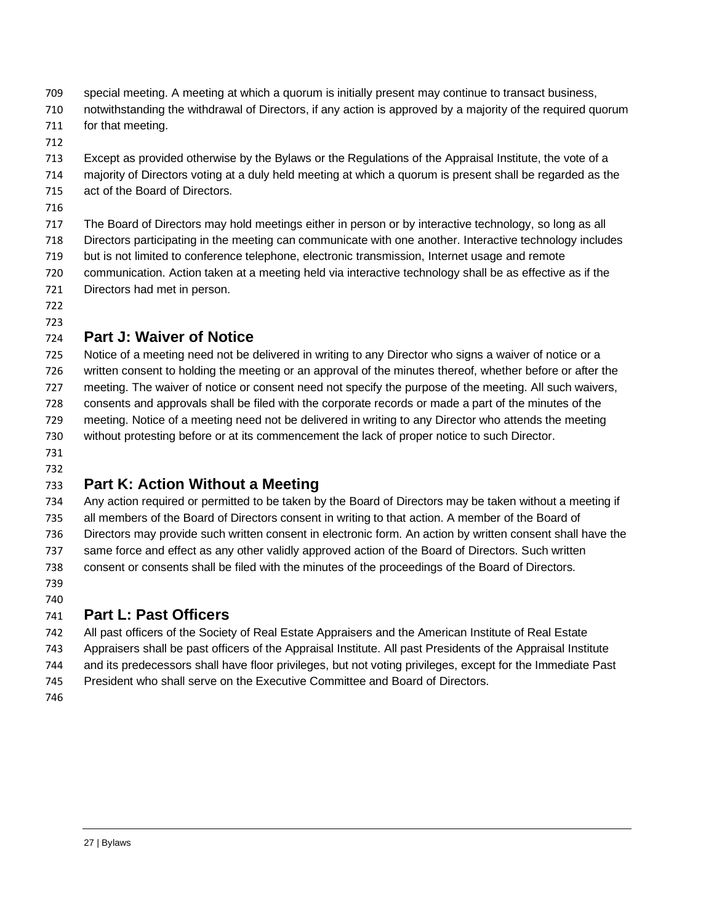- special meeting. A meeting at which a quorum is initially present may continue to transact business,
- notwithstanding the withdrawal of Directors, if any action is approved by a majority of the required quorum
- for that meeting.
- Except as provided otherwise by the Bylaws or the Regulations of the Appraisal Institute, the vote of a
- majority of Directors voting at a duly held meeting at which a quorum is present shall be regarded as the act of the Board of Directors.
- 
- The Board of Directors may hold meetings either in person or by interactive technology, so long as all
- Directors participating in the meeting can communicate with one another. Interactive technology includes
- but is not limited to conference telephone, electronic transmission, Internet usage and remote
- communication. Action taken at a meeting held via interactive technology shall be as effective as if the Directors had met in person.
- 

## <span id="page-26-0"></span>**Part J: Waiver of Notice**

 Notice of a meeting need not be delivered in writing to any Director who signs a waiver of notice or a written consent to holding the meeting or an approval of the minutes thereof, whether before or after the meeting. The waiver of notice or consent need not specify the purpose of the meeting. All such waivers, consents and approvals shall be filed with the corporate records or made a part of the minutes of the meeting. Notice of a meeting need not be delivered in writing to any Director who attends the meeting without protesting before or at its commencement the lack of proper notice to such Director.

 

## <span id="page-26-1"></span>**Part K: Action Without a Meeting**

 Any action required or permitted to be taken by the Board of Directors may be taken without a meeting if all members of the Board of Directors consent in writing to that action. A member of the Board of Directors may provide such written consent in electronic form. An action by written consent shall have the same force and effect as any other validly approved action of the Board of Directors. Such written consent or consents shall be filed with the minutes of the proceedings of the Board of Directors. 

## <span id="page-26-2"></span>**Part L: Past Officers**

All past officers of the Society of Real Estate Appraisers and the American Institute of Real Estate

- Appraisers shall be past officers of the Appraisal Institute. All past Presidents of the Appraisal Institute
- and its predecessors shall have floor privileges, but not voting privileges, except for the Immediate Past
- President who shall serve on the Executive Committee and Board of Directors.
-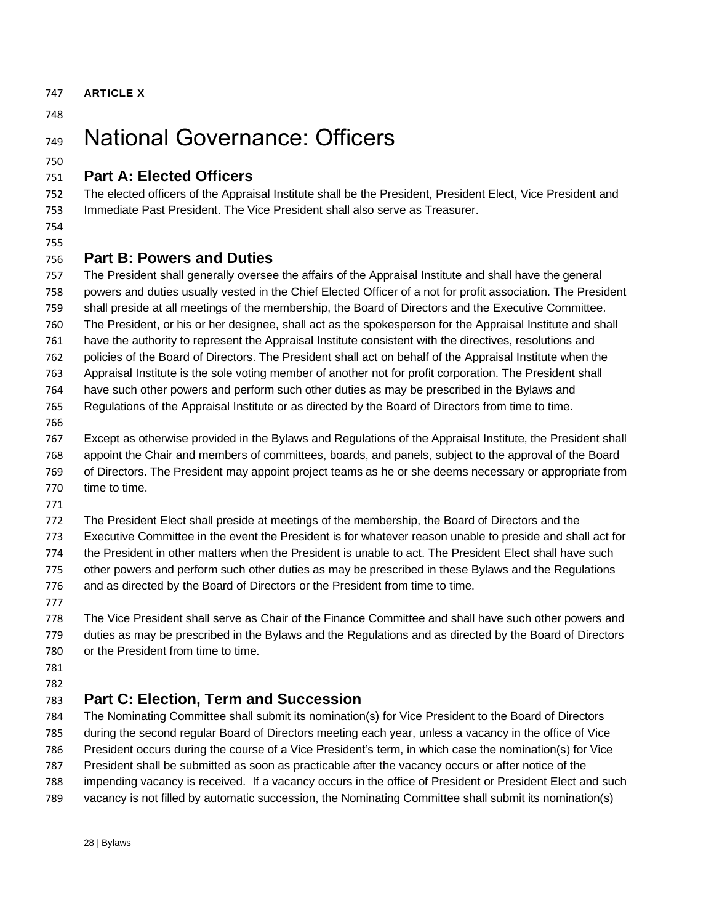<span id="page-27-0"></span> **Part A: Elected Officers** The President shall generally oversee the affairs of the Appraisal Institute and shall have the general time to time. or the President from time to time. 

# <span id="page-27-1"></span>National Governance: Officers

<span id="page-27-2"></span> The elected officers of the Appraisal Institute shall be the President, President Elect, Vice President and Immediate Past President. The Vice President shall also serve as Treasurer.

### <span id="page-27-3"></span>**Part B: Powers and Duties**

 powers and duties usually vested in the Chief Elected Officer of a not for profit association. The President shall preside at all meetings of the membership, the Board of Directors and the Executive Committee. The President, or his or her designee, shall act as the spokesperson for the Appraisal Institute and shall have the authority to represent the Appraisal Institute consistent with the directives, resolutions and policies of the Board of Directors. The President shall act on behalf of the Appraisal Institute when the Appraisal Institute is the sole voting member of another not for profit corporation. The President shall have such other powers and perform such other duties as may be prescribed in the Bylaws and Regulations of the Appraisal Institute or as directed by the Board of Directors from time to time. Except as otherwise provided in the Bylaws and Regulations of the Appraisal Institute, the President shall appoint the Chair and members of committees, boards, and panels, subject to the approval of the Board of Directors. The President may appoint project teams as he or she deems necessary or appropriate from

The President Elect shall preside at meetings of the membership, the Board of Directors and the

Executive Committee in the event the President is for whatever reason unable to preside and shall act for

the President in other matters when the President is unable to act. The President Elect shall have such

other powers and perform such other duties as may be prescribed in these Bylaws and the Regulations

and as directed by the Board of Directors or the President from time to time.

 The Vice President shall serve as Chair of the Finance Committee and shall have such other powers and duties as may be prescribed in the Bylaws and the Regulations and as directed by the Board of Directors

## <span id="page-27-4"></span>**Part C: Election, Term and Succession**

 The Nominating Committee shall submit its nomination(s) for Vice President to the Board of Directors during the second regular Board of Directors meeting each year, unless a vacancy in the office of Vice President occurs during the course of a Vice President's term, in which case the nomination(s) for Vice President shall be submitted as soon as practicable after the vacancy occurs or after notice of the impending vacancy is received. If a vacancy occurs in the office of President or President Elect and such vacancy is not filled by automatic succession, the Nominating Committee shall submit its nomination(s)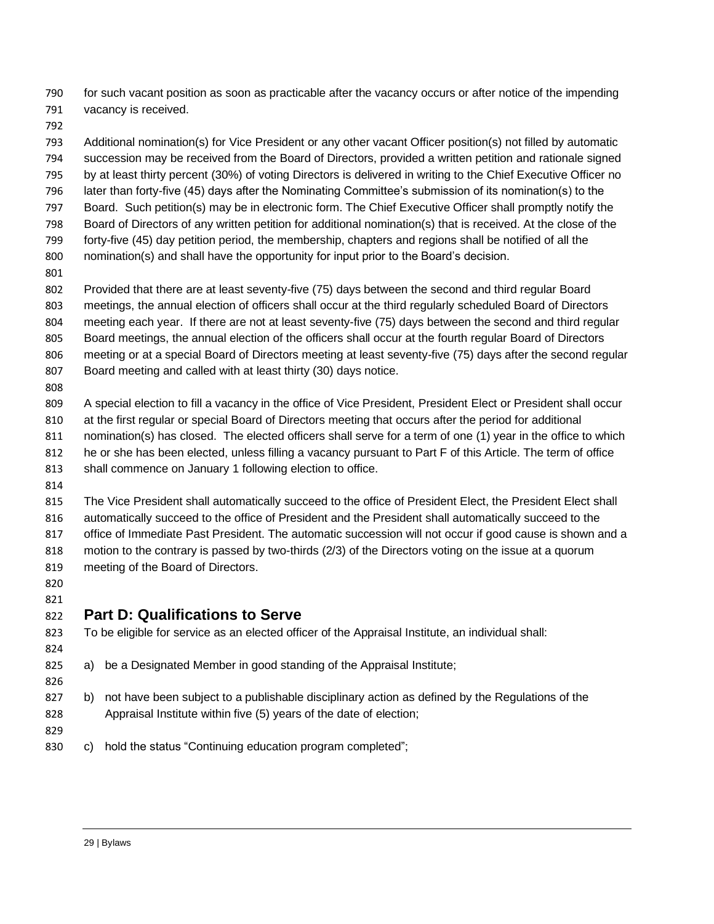for such vacant position as soon as practicable after the vacancy occurs or after notice of the impending vacancy is received.

 Additional nomination(s) for Vice President or any other vacant Officer position(s) not filled by automatic succession may be received from the Board of Directors, provided a written petition and rationale signed by at least thirty percent (30%) of voting Directors is delivered in writing to the Chief Executive Officer no later than forty-five (45) days after the Nominating Committee's submission of its nomination(s) to the Board. Such petition(s) may be in electronic form. The Chief Executive Officer shall promptly notify the Board of Directors of any written petition for additional nomination(s) that is received. At the close of the forty-five (45) day petition period, the membership, chapters and regions shall be notified of all the nomination(s) and shall have the opportunity for input prior to the Board's decision.

Provided that there are at least seventy-five (75) days between the second and third regular Board

meetings, the annual election of officers shall occur at the third regularly scheduled Board of Directors

- meeting each year. If there are not at least seventy-five (75) days between the second and third regular
- Board meetings, the annual election of the officers shall occur at the fourth regular Board of Directors
- meeting or at a special Board of Directors meeting at least seventy-five (75) days after the second regular Board meeting and called with at least thirty (30) days notice.
- 

 A special election to fill a vacancy in the office of Vice President, President Elect or President shall occur at the first regular or special Board of Directors meeting that occurs after the period for additional nomination(s) has closed. The elected officers shall serve for a term of one (1) year in the office to which

he or she has been elected, unless filling a vacancy pursuant to Part F of this Article. The term of office

- 813 shall commence on January 1 following election to office.
- 

 The Vice President shall automatically succeed to the office of President Elect, the President Elect shall automatically succeed to the office of President and the President shall automatically succeed to the office of Immediate Past President. The automatic succession will not occur if good cause is shown and a motion to the contrary is passed by two-thirds (2/3) of the Directors voting on the issue at a quorum

- meeting of the Board of Directors.
- 

## <span id="page-28-0"></span>**Part D: Qualifications to Serve**

To be eligible for service as an elected officer of the Appraisal Institute, an individual shall:

- a) be a Designated Member in good standing of the Appraisal Institute;
- b) not have been subject to a publishable disciplinary action as defined by the Regulations of the Appraisal Institute within five (5) years of the date of election;
- c) hold the status "Continuing education program completed";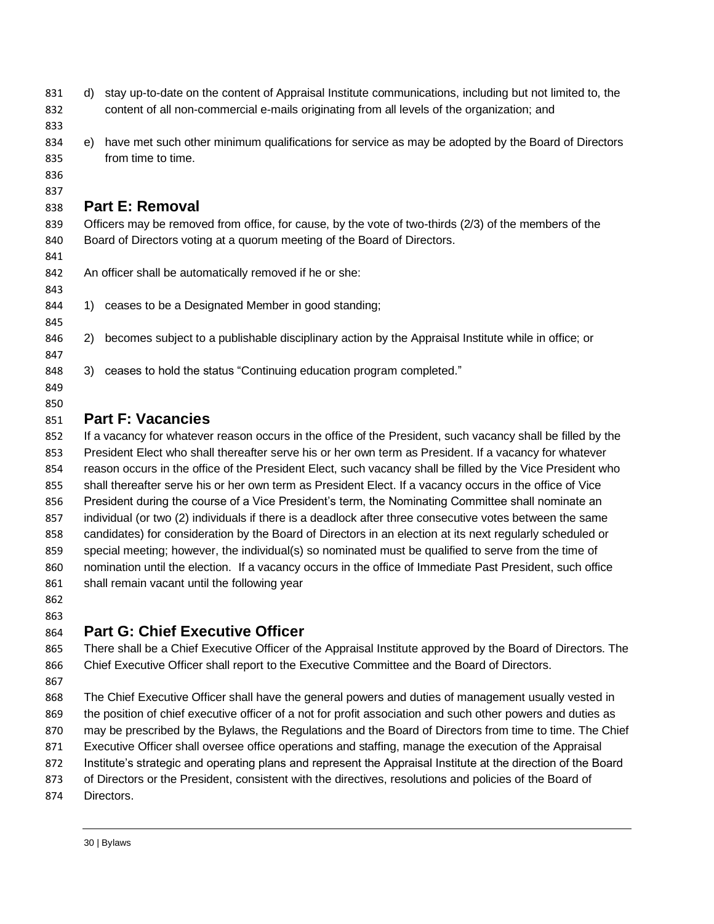- d) stay up-to-date on the content of Appraisal Institute communications, including but not limited to, the content of all non-commercial e-mails originating from all levels of the organization; and
- 
- e) have met such other minimum qualifications for service as may be adopted by the Board of Directors from time to time.
- 

## <span id="page-29-0"></span>**Part E: Removal**

839 Officers may be removed from office, for cause, by the vote of two-thirds (2/3) of the members of the Board of Directors voting at a quorum meeting of the Board of Directors.

An officer shall be automatically removed if he or she:

- 1) ceases to be a Designated Member in good standing;
- 2) becomes subject to a publishable disciplinary action by the Appraisal Institute while in office; or
- 3) ceases to hold the status "Continuing education program completed."
- 

## <span id="page-29-1"></span>**Part F: Vacancies**

852 If a vacancy for whatever reason occurs in the office of the President, such vacancy shall be filled by the President Elect who shall thereafter serve his or her own term as President. If a vacancy for whatever reason occurs in the office of the President Elect, such vacancy shall be filled by the Vice President who shall thereafter serve his or her own term as President Elect. If a vacancy occurs in the office of Vice President during the course of a Vice President's term, the Nominating Committee shall nominate an individual (or two (2) individuals if there is a deadlock after three consecutive votes between the same candidates) for consideration by the Board of Directors in an election at its next regularly scheduled or special meeting; however, the individual(s) so nominated must be qualified to serve from the time of nomination until the election. If a vacancy occurs in the office of Immediate Past President, such office 861 shall remain vacant until the following year

## 

## <span id="page-29-2"></span>**Part G: Chief Executive Officer**

 There shall be a Chief Executive Officer of the Appraisal Institute approved by the Board of Directors. The Chief Executive Officer shall report to the Executive Committee and the Board of Directors.

- 
- The Chief Executive Officer shall have the general powers and duties of management usually vested in the position of chief executive officer of a not for profit association and such other powers and duties as 870 may be prescribed by the Bylaws, the Regulations and the Board of Directors from time to time. The Chief
- Executive Officer shall oversee office operations and staffing, manage the execution of the Appraisal
- Institute's strategic and operating plans and represent the Appraisal Institute at the direction of the Board
- of Directors or the President, consistent with the directives, resolutions and policies of the Board of
- Directors.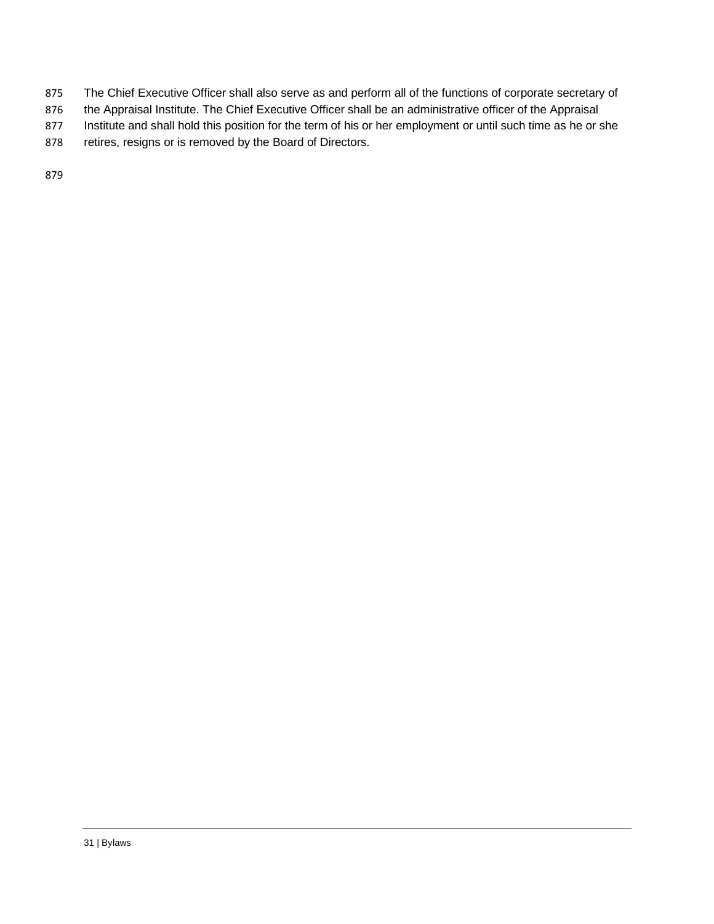- 875 The Chief Executive Officer shall also serve as and perform all of the functions of corporate secretary of
- 876 the Appraisal Institute. The Chief Executive Officer shall be an administrative officer of the Appraisal
- 877 Institute and shall hold this position for the term of his or her employment or until such time as he or she
- 878 retires, resigns or is removed by the Board of Directors.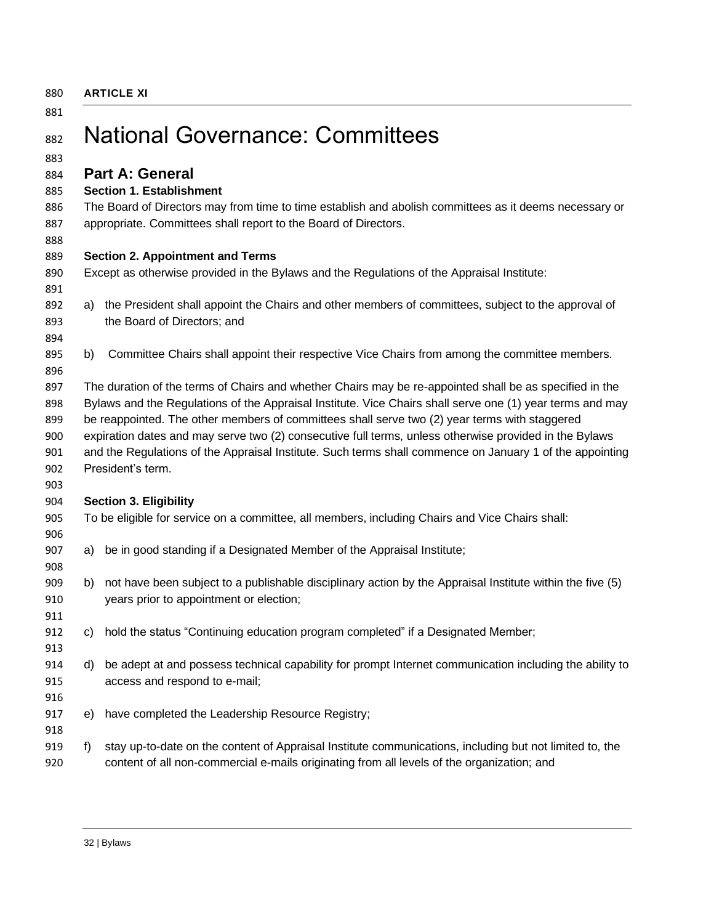<span id="page-31-0"></span>**ARTICLE XI**

<span id="page-31-2"></span><span id="page-31-1"></span>

| 881<br>882 |     | <b>National Governance: Committees</b>                                                                    |
|------------|-----|-----------------------------------------------------------------------------------------------------------|
| 883        |     |                                                                                                           |
| 884        |     | <b>Part A: General</b>                                                                                    |
| 885        |     | <b>Section 1. Establishment</b>                                                                           |
| 886        |     | The Board of Directors may from time to time establish and abolish committees as it deems necessary or    |
| 887        |     | appropriate. Committees shall report to the Board of Directors.                                           |
| 888        |     |                                                                                                           |
| 889        |     | <b>Section 2. Appointment and Terms</b>                                                                   |
| 890        |     | Except as otherwise provided in the Bylaws and the Regulations of the Appraisal Institute:                |
| 891        |     |                                                                                                           |
| 892        | a)  | the President shall appoint the Chairs and other members of committees, subject to the approval of        |
| 893        |     | the Board of Directors; and                                                                               |
| 894        |     |                                                                                                           |
| 895        | b)  | Committee Chairs shall appoint their respective Vice Chairs from among the committee members.             |
| 896        |     |                                                                                                           |
| 897        |     | The duration of the terms of Chairs and whether Chairs may be re-appointed shall be as specified in the   |
| 898        |     | Bylaws and the Regulations of the Appraisal Institute. Vice Chairs shall serve one (1) year terms and may |
| 899        |     | be reappointed. The other members of committees shall serve two (2) year terms with staggered             |
| 900        |     | expiration dates and may serve two (2) consecutive full terms, unless otherwise provided in the Bylaws    |
| 901        |     | and the Regulations of the Appraisal Institute. Such terms shall commence on January 1 of the appointing  |
| 902        |     | President's term.                                                                                         |
| 903        |     |                                                                                                           |
| 904        |     | <b>Section 3. Eligibility</b>                                                                             |
| 905        |     | To be eligible for service on a committee, all members, including Chairs and Vice Chairs shall:           |
| 906        |     |                                                                                                           |
| 907        | a)  | be in good standing if a Designated Member of the Appraisal Institute;                                    |
| 908        |     |                                                                                                           |
| 909        | b)  | not have been subject to a publishable disciplinary action by the Appraisal Institute within the five (5) |
| 910        |     | years prior to appointment or election;                                                                   |
| 911        |     |                                                                                                           |
| 912        | C)  | hold the status "Continuing education program completed" if a Designated Member;                          |
| 913        |     |                                                                                                           |
| 914        | d). | be adept at and possess technical capability for prompt Internet communication including the ability to   |
| 915        |     | access and respond to e-mail;                                                                             |
| 916        |     |                                                                                                           |
| 917        | e)  | have completed the Leadership Resource Registry;                                                          |
| 918        |     |                                                                                                           |
| 919        | f)  | stay up-to-date on the content of Appraisal Institute communications, including but not limited to, the   |
| 920        |     | content of all non-commercial e-mails originating from all levels of the organization; and                |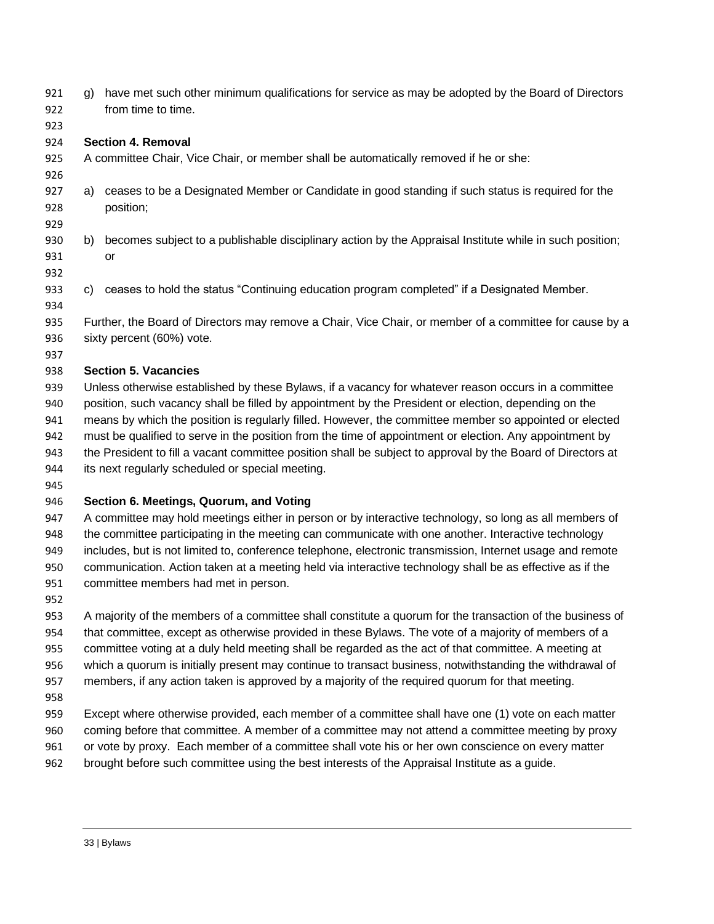| 921<br>922 | g) | have met such other minimum qualifications for service as may be adopted by the Board of Directors<br>from time to time.                                                                                         |
|------------|----|------------------------------------------------------------------------------------------------------------------------------------------------------------------------------------------------------------------|
| 923        |    |                                                                                                                                                                                                                  |
| 924        |    | <b>Section 4. Removal</b>                                                                                                                                                                                        |
| 925<br>926 |    | A committee Chair, Vice Chair, or member shall be automatically removed if he or she:                                                                                                                            |
| 927<br>928 | a) | ceases to be a Designated Member or Candidate in good standing if such status is required for the<br>position;                                                                                                   |
| 929        |    |                                                                                                                                                                                                                  |
| 930        | b) | becomes subject to a publishable disciplinary action by the Appraisal Institute while in such position;                                                                                                          |
| 931        |    | <b>or</b>                                                                                                                                                                                                        |
| 932        |    |                                                                                                                                                                                                                  |
| 933        | C) | ceases to hold the status "Continuing education program completed" if a Designated Member.                                                                                                                       |
| 934        |    |                                                                                                                                                                                                                  |
| 935        |    | Further, the Board of Directors may remove a Chair, Vice Chair, or member of a committee for cause by a                                                                                                          |
| 936        |    | sixty percent (60%) vote.                                                                                                                                                                                        |
| 937        |    |                                                                                                                                                                                                                  |
| 938        |    | <b>Section 5. Vacancies</b>                                                                                                                                                                                      |
| 939        |    | Unless otherwise established by these Bylaws, if a vacancy for whatever reason occurs in a committee                                                                                                             |
| 940        |    | position, such vacancy shall be filled by appointment by the President or election, depending on the                                                                                                             |
| 941        |    | means by which the position is regularly filled. However, the committee member so appointed or elected                                                                                                           |
| 942        |    | must be qualified to serve in the position from the time of appointment or election. Any appointment by                                                                                                          |
| 943        |    | the President to fill a vacant committee position shall be subject to approval by the Board of Directors at                                                                                                      |
| 944        |    | its next regularly scheduled or special meeting.                                                                                                                                                                 |
| 945        |    |                                                                                                                                                                                                                  |
| 946        |    | Section 6. Meetings, Quorum, and Voting                                                                                                                                                                          |
| 947        |    | A committee may hold meetings either in person or by interactive technology, so long as all members of                                                                                                           |
| 948<br>949 |    | the committee participating in the meeting can communicate with one another. Interactive technology<br>includes, but is not limited to, conference telephone, electronic transmission, Internet usage and remote |
| 950        |    | communication. Action taken at a meeting held via interactive technology shall be as effective as if the                                                                                                         |
| 951        |    | committee members had met in person.                                                                                                                                                                             |
| 952        |    |                                                                                                                                                                                                                  |
| 953        |    | A majority of the members of a committee shall constitute a quorum for the transaction of the business of                                                                                                        |
| 954        |    | that committee, except as otherwise provided in these Bylaws. The vote of a majority of members of a                                                                                                             |
| 955        |    | committee voting at a duly held meeting shall be regarded as the act of that committee. A meeting at                                                                                                             |
| 956        |    | which a quorum is initially present may continue to transact business, notwithstanding the withdrawal of                                                                                                         |
| 957        |    | members, if any action taken is approved by a majority of the required quorum for that meeting.                                                                                                                  |
| 958        |    |                                                                                                                                                                                                                  |
| 959        |    | Except where otherwise provided, each member of a committee shall have one (1) vote on each matter                                                                                                               |
| 960        |    | coming before that committee. A member of a committee may not attend a committee meeting by proxy                                                                                                                |
| 961        |    | or vote by proxy. Each member of a committee shall vote his or her own conscience on every matter                                                                                                                |
| 962        |    | brought before such committee using the best interests of the Appraisal Institute as a guide.                                                                                                                    |
|            |    |                                                                                                                                                                                                                  |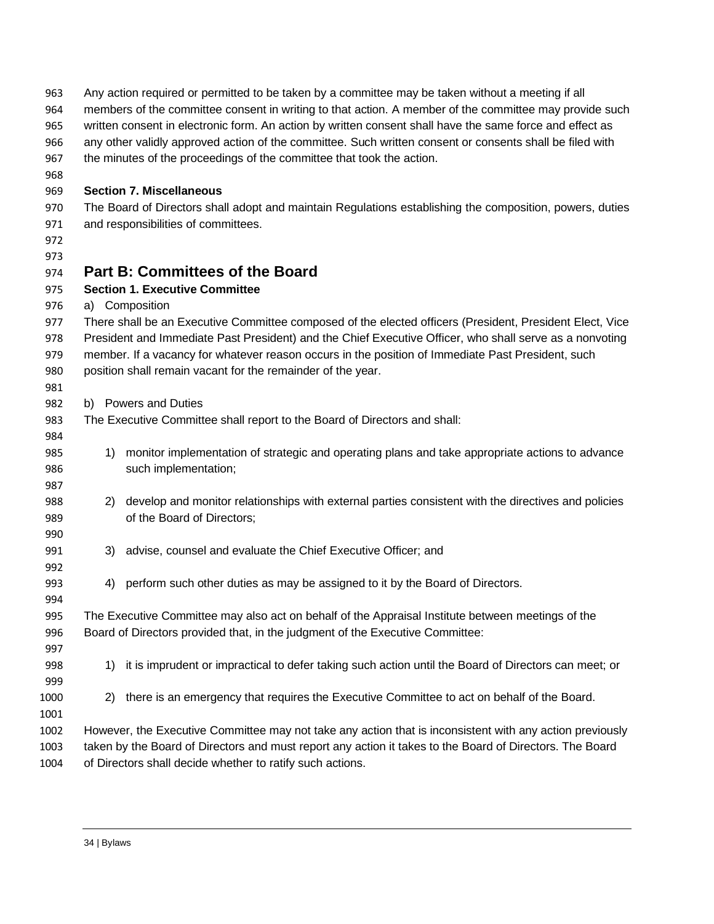<span id="page-33-0"></span>

| 963  | Any action required or permitted to be taken by a committee may be taken without a meeting if all          |
|------|------------------------------------------------------------------------------------------------------------|
| 964  | members of the committee consent in writing to that action. A member of the committee may provide such     |
| 965  | written consent in electronic form. An action by written consent shall have the same force and effect as   |
| 966  | any other validly approved action of the committee. Such written consent or consents shall be filed with   |
| 967  | the minutes of the proceedings of the committee that took the action.                                      |
| 968  |                                                                                                            |
| 969  | <b>Section 7. Miscellaneous</b>                                                                            |
| 970  | The Board of Directors shall adopt and maintain Regulations establishing the composition, powers, duties   |
| 971  | and responsibilities of committees.                                                                        |
| 972  |                                                                                                            |
| 973  |                                                                                                            |
| 974  | <b>Part B: Committees of the Board</b>                                                                     |
| 975  | <b>Section 1. Executive Committee</b>                                                                      |
| 976  | a) Composition                                                                                             |
| 977  | There shall be an Executive Committee composed of the elected officers (President, President Elect, Vice   |
| 978  | President and Immediate Past President) and the Chief Executive Officer, who shall serve as a nonvoting    |
| 979  | member. If a vacancy for whatever reason occurs in the position of Immediate Past President, such          |
| 980  | position shall remain vacant for the remainder of the year.                                                |
| 981  |                                                                                                            |
| 982  | b) Powers and Duties                                                                                       |
| 983  | The Executive Committee shall report to the Board of Directors and shall:                                  |
| 984  |                                                                                                            |
| 985  | monitor implementation of strategic and operating plans and take appropriate actions to advance<br>1)      |
| 986  | such implementation;                                                                                       |
| 987  |                                                                                                            |
| 988  | develop and monitor relationships with external parties consistent with the directives and policies<br>2)  |
| 989  | of the Board of Directors;                                                                                 |
| 990  |                                                                                                            |
| 991  | 3) advise, counsel and evaluate the Chief Executive Officer; and                                           |
| 992  |                                                                                                            |
| 993  | perform such other duties as may be assigned to it by the Board of Directors.<br>4)                        |
| 994  |                                                                                                            |
| 995  | The Executive Committee may also act on behalf of the Appraisal Institute between meetings of the          |
| 996  | Board of Directors provided that, in the judgment of the Executive Committee:                              |
| 997  |                                                                                                            |
| 998  | it is imprudent or impractical to defer taking such action until the Board of Directors can meet; or<br>1) |
|      |                                                                                                            |
| 999  |                                                                                                            |
| 1000 | there is an emergency that requires the Executive Committee to act on behalf of the Board.<br>2)           |
| 1001 |                                                                                                            |
| 1002 | However, the Executive Committee may not take any action that is inconsistent with any action previously   |
| 1003 | taken by the Board of Directors and must report any action it takes to the Board of Directors. The Board   |
| 1004 | of Directors shall decide whether to ratify such actions.                                                  |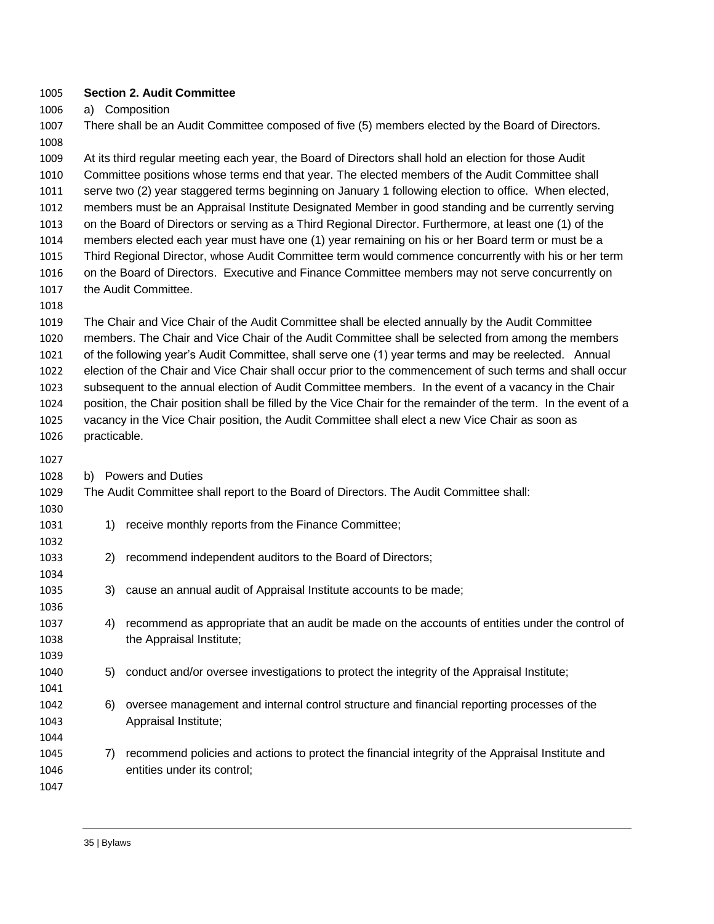#### **Section 2. Audit Committee**

a) Composition

 There shall be an Audit Committee composed of five (5) members elected by the Board of Directors. 

 At its third regular meeting each year, the Board of Directors shall hold an election for those Audit Committee positions whose terms end that year. The elected members of the Audit Committee shall serve two (2) year staggered terms beginning on January 1 following election to office. When elected, members must be an Appraisal Institute Designated Member in good standing and be currently serving on the Board of Directors or serving as a Third Regional Director. Furthermore, at least one (1) of the members elected each year must have one (1) year remaining on his or her Board term or must be a Third Regional Director, whose Audit Committee term would commence concurrently with his or her term on the Board of Directors. Executive and Finance Committee members may not serve concurrently on the Audit Committee.

 The Chair and Vice Chair of the Audit Committee shall be elected annually by the Audit Committee members. The Chair and Vice Chair of the Audit Committee shall be selected from among the members of the following year's Audit Committee, shall serve one (1) year terms and may be reelected. Annual election of the Chair and Vice Chair shall occur prior to the commencement of such terms and shall occur subsequent to the annual election of Audit Committee members. In the event of a vacancy in the Chair position, the Chair position shall be filled by the Vice Chair for the remainder of the term. In the event of a vacancy in the Vice Chair position, the Audit Committee shall elect a new Vice Chair as soon as

b) Powers and Duties

practicable.

#### The Audit Committee shall report to the Board of Directors. The Audit Committee shall:

- 1031 1031 1) receive monthly reports from the Finance Committee;
- 2) recommend independent auditors to the Board of Directors;
- 3) cause an annual audit of Appraisal Institute accounts to be made;
- 4) recommend as appropriate that an audit be made on the accounts of entities under the control of the Appraisal Institute;
- 5) conduct and/or oversee investigations to protect the integrity of the Appraisal Institute;
- 6) oversee management and internal control structure and financial reporting processes of the Appraisal Institute;
- 7) recommend policies and actions to protect the financial integrity of the Appraisal Institute and entities under its control;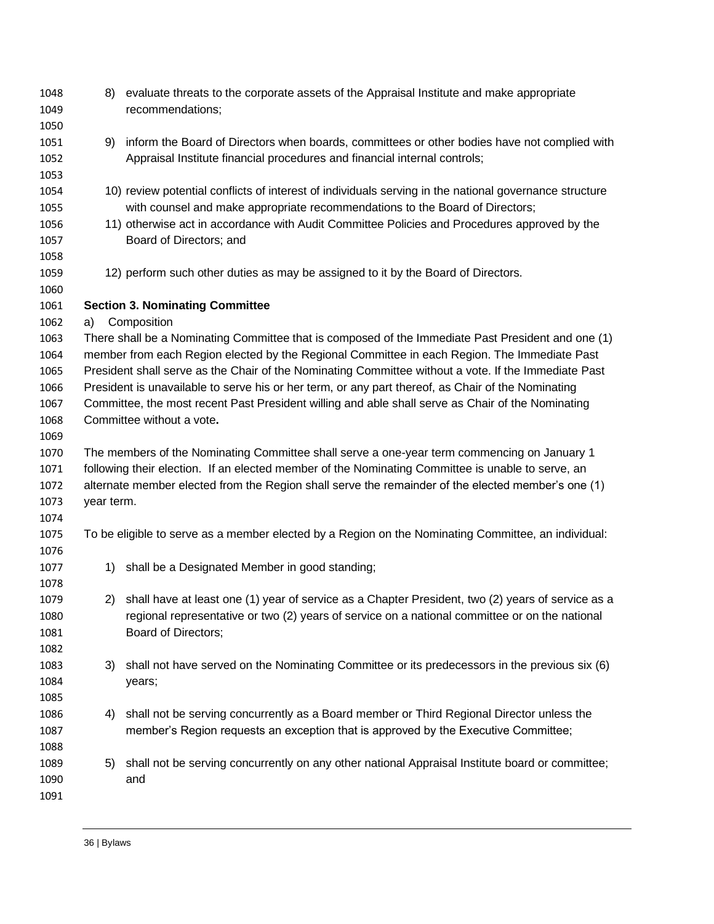| 1048<br>1049 | 8)         | evaluate threats to the corporate assets of the Appraisal Institute and make appropriate<br>recommendations; |
|--------------|------------|--------------------------------------------------------------------------------------------------------------|
| 1050         |            |                                                                                                              |
| 1051         | 9)         | inform the Board of Directors when boards, committees or other bodies have not complied with                 |
| 1052         |            | Appraisal Institute financial procedures and financial internal controls;                                    |
| 1053         |            |                                                                                                              |
| 1054         |            | 10) review potential conflicts of interest of individuals serving in the national governance structure       |
| 1055         |            | with counsel and make appropriate recommendations to the Board of Directors;                                 |
| 1056         |            | 11) otherwise act in accordance with Audit Committee Policies and Procedures approved by the                 |
| 1057         |            | Board of Directors; and                                                                                      |
| 1058         |            |                                                                                                              |
| 1059         |            | 12) perform such other duties as may be assigned to it by the Board of Directors.                            |
| 1060         |            |                                                                                                              |
| 1061         |            | <b>Section 3. Nominating Committee</b>                                                                       |
| 1062         | a)         | Composition                                                                                                  |
| 1063         |            | There shall be a Nominating Committee that is composed of the Immediate Past President and one (1)           |
| 1064         |            | member from each Region elected by the Regional Committee in each Region. The Immediate Past                 |
| 1065         |            | President shall serve as the Chair of the Nominating Committee without a vote. If the Immediate Past         |
| 1066         |            | President is unavailable to serve his or her term, or any part thereof, as Chair of the Nominating           |
| 1067         |            | Committee, the most recent Past President willing and able shall serve as Chair of the Nominating            |
| 1068         |            | Committee without a vote.                                                                                    |
| 1069         |            |                                                                                                              |
| 1070         |            | The members of the Nominating Committee shall serve a one-year term commencing on January 1                  |
| 1071         |            | following their election. If an elected member of the Nominating Committee is unable to serve, an            |
| 1072         |            | alternate member elected from the Region shall serve the remainder of the elected member's one (1)           |
| 1073         | year term. |                                                                                                              |
| 1074         |            |                                                                                                              |
| 1075         |            | To be eligible to serve as a member elected by a Region on the Nominating Committee, an individual:          |
| 1076         |            |                                                                                                              |
| 1077         | 1)         | shall be a Designated Member in good standing;                                                               |
| 1078         |            |                                                                                                              |
| 1079         |            | 2) shall have at least one (1) year of service as a Chapter President, two (2) years of service as a         |
| 1080         |            | regional representative or two (2) years of service on a national committee or on the national               |
| 1081         |            | Board of Directors;                                                                                          |
| 1082         |            |                                                                                                              |
| 1083         | 3)         | shall not have served on the Nominating Committee or its predecessors in the previous six (6)                |
| 1084         |            | years;                                                                                                       |
| 1085         |            |                                                                                                              |
| 1086         | 4)         | shall not be serving concurrently as a Board member or Third Regional Director unless the                    |
| 1087         |            | member's Region requests an exception that is approved by the Executive Committee;                           |
| 1088         |            |                                                                                                              |
| 1089         | 5)         | shall not be serving concurrently on any other national Appraisal Institute board or committee;              |
| 1090         |            | and                                                                                                          |
| 1091         |            |                                                                                                              |
|              |            |                                                                                                              |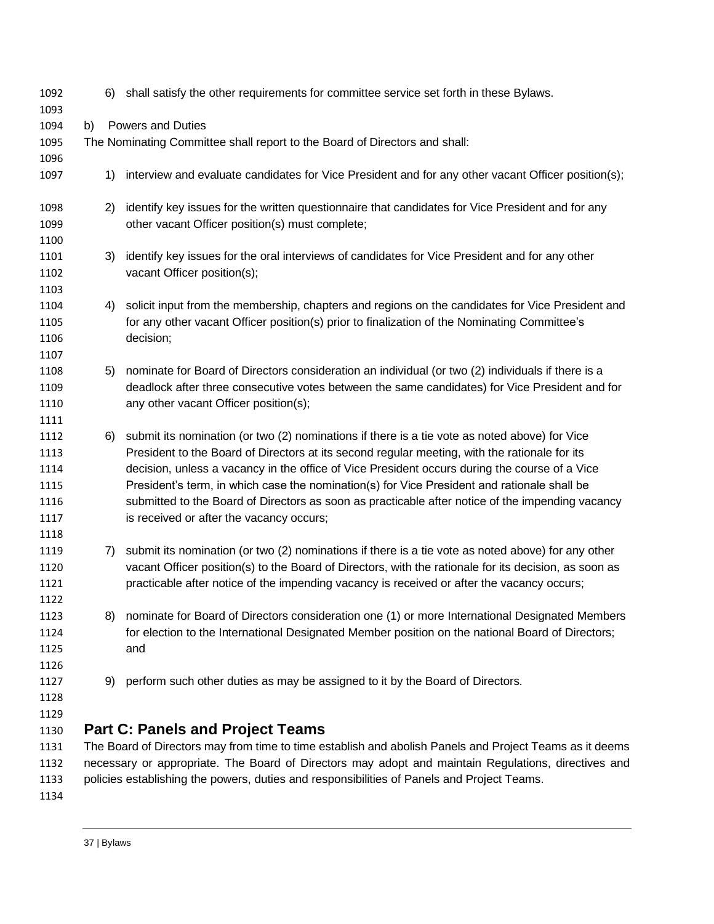<span id="page-36-0"></span>

| 1092         |    | 6) shall satisfy the other requirements for committee service set forth in these Bylaws.                                                                                                            |
|--------------|----|-----------------------------------------------------------------------------------------------------------------------------------------------------------------------------------------------------|
| 1093         |    |                                                                                                                                                                                                     |
| 1094         | b) | <b>Powers and Duties</b>                                                                                                                                                                            |
| 1095         |    | The Nominating Committee shall report to the Board of Directors and shall:                                                                                                                          |
| 1096         |    |                                                                                                                                                                                                     |
| 1097         | 1) | interview and evaluate candidates for Vice President and for any other vacant Officer position(s);                                                                                                  |
| 1098<br>1099 | 2) | identify key issues for the written questionnaire that candidates for Vice President and for any<br>other vacant Officer position(s) must complete;                                                 |
| 1100         |    |                                                                                                                                                                                                     |
|              |    |                                                                                                                                                                                                     |
| 1101         | 3) | identify key issues for the oral interviews of candidates for Vice President and for any other                                                                                                      |
| 1102         |    | vacant Officer position(s);                                                                                                                                                                         |
| 1103         |    |                                                                                                                                                                                                     |
| 1104         | 4) | solicit input from the membership, chapters and regions on the candidates for Vice President and                                                                                                    |
| 1105         |    | for any other vacant Officer position(s) prior to finalization of the Nominating Committee's                                                                                                        |
| 1106         |    | decision;                                                                                                                                                                                           |
| 1107         |    |                                                                                                                                                                                                     |
| 1108         | 5) | nominate for Board of Directors consideration an individual (or two (2) individuals if there is a                                                                                                   |
| 1109         |    | deadlock after three consecutive votes between the same candidates) for Vice President and for                                                                                                      |
| 1110         |    | any other vacant Officer position(s);                                                                                                                                                               |
| 1111         |    |                                                                                                                                                                                                     |
| 1112         | 6) | submit its nomination (or two (2) nominations if there is a tie vote as noted above) for Vice                                                                                                       |
| 1113         |    | President to the Board of Directors at its second regular meeting, with the rationale for its                                                                                                       |
| 1114         |    | decision, unless a vacancy in the office of Vice President occurs during the course of a Vice                                                                                                       |
| 1115         |    | President's term, in which case the nomination(s) for Vice President and rationale shall be                                                                                                         |
| 1116         |    | submitted to the Board of Directors as soon as practicable after notice of the impending vacancy                                                                                                    |
| 1117         |    | is received or after the vacancy occurs;                                                                                                                                                            |
| 1118         |    |                                                                                                                                                                                                     |
| 1119         | 7) | submit its nomination (or two (2) nominations if there is a tie vote as noted above) for any other                                                                                                  |
| 1120         |    | vacant Officer position(s) to the Board of Directors, with the rationale for its decision, as soon as<br>practicable after notice of the impending vacancy is received or after the vacancy occurs; |
| 1121         |    |                                                                                                                                                                                                     |
| 1122         |    |                                                                                                                                                                                                     |
| 1123         | 8) | nominate for Board of Directors consideration one (1) or more International Designated Members                                                                                                      |
| 1124         |    | for election to the International Designated Member position on the national Board of Directors;                                                                                                    |
| 1125         |    | and                                                                                                                                                                                                 |
| 1126         |    |                                                                                                                                                                                                     |
| 1127         | 9) | perform such other duties as may be assigned to it by the Board of Directors.                                                                                                                       |
| 1128         |    |                                                                                                                                                                                                     |
| 1129         |    | <b>Part C: Panels and Project Teams</b>                                                                                                                                                             |
| 1130<br>1131 |    | The Board of Directors may from time to time establish and abolish Panels and Project Teams as it deems                                                                                             |
| 1132         |    | necessary or appropriate. The Board of Directors may adopt and maintain Regulations, directives and                                                                                                 |
|              |    |                                                                                                                                                                                                     |
| 1133         |    | policies establishing the powers, duties and responsibilities of Panels and Project Teams.                                                                                                          |
| 1134         |    |                                                                                                                                                                                                     |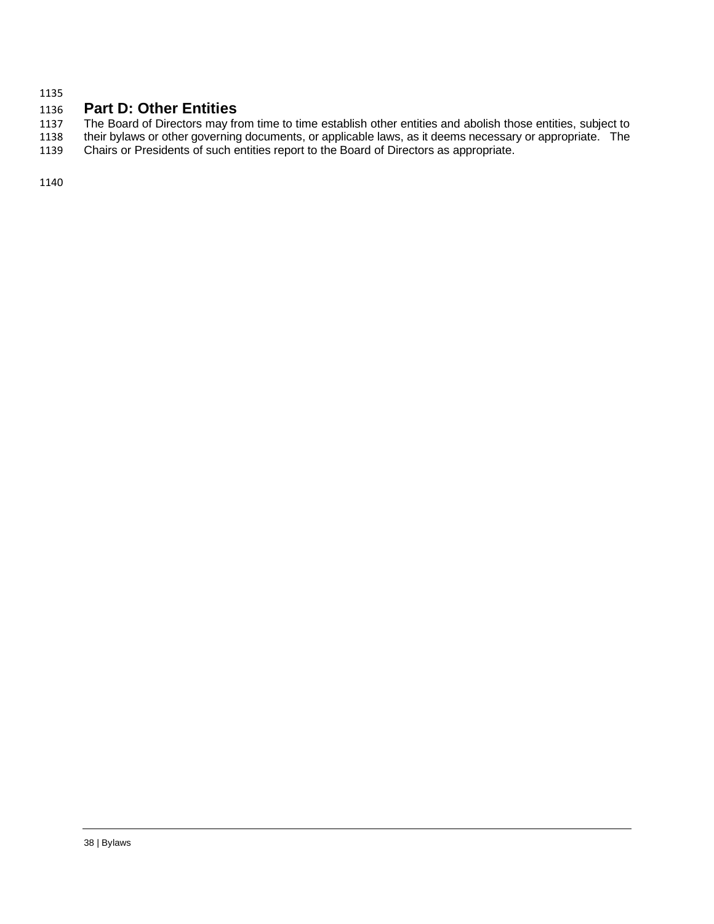## <span id="page-37-0"></span>**Part D: Other Entities**

 The Board of Directors may from time to time establish other entities and abolish those entities, subject to their bylaws or other governing documents, or applicable laws, as it deems necessary or appropriate. The

Chairs or Presidents of such entities report to the Board of Directors as appropriate.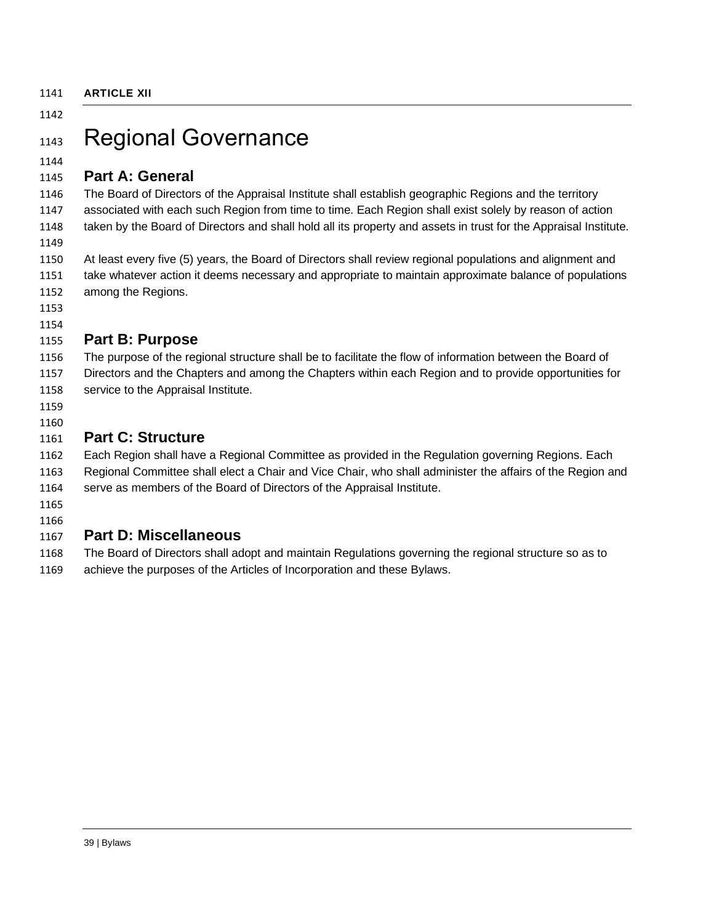## <span id="page-38-1"></span><span id="page-38-0"></span>1143 Regional Governance

#### 

#### <span id="page-38-2"></span>**Part A: General**

 The Board of Directors of the Appraisal Institute shall establish geographic Regions and the territory associated with each such Region from time to time. Each Region shall exist solely by reason of action 1148 taken by the Board of Directors and shall hold all its property and assets in trust for the Appraisal Institute.

 At least every five (5) years, the Board of Directors shall review regional populations and alignment and take whatever action it deems necessary and appropriate to maintain approximate balance of populations among the Regions.

 

## <span id="page-38-3"></span>**Part B: Purpose**

 The purpose of the regional structure shall be to facilitate the flow of information between the Board of Directors and the Chapters and among the Chapters within each Region and to provide opportunities for

- 1158 service to the Appraisal Institute.
- 

## <span id="page-38-4"></span>**Part C: Structure**

Each Region shall have a Regional Committee as provided in the Regulation governing Regions. Each

Regional Committee shall elect a Chair and Vice Chair, who shall administer the affairs of the Region and

serve as members of the Board of Directors of the Appraisal Institute.

 

#### <span id="page-38-5"></span>**Part D: Miscellaneous**

The Board of Directors shall adopt and maintain Regulations governing the regional structure so as to

achieve the purposes of the Articles of Incorporation and these Bylaws.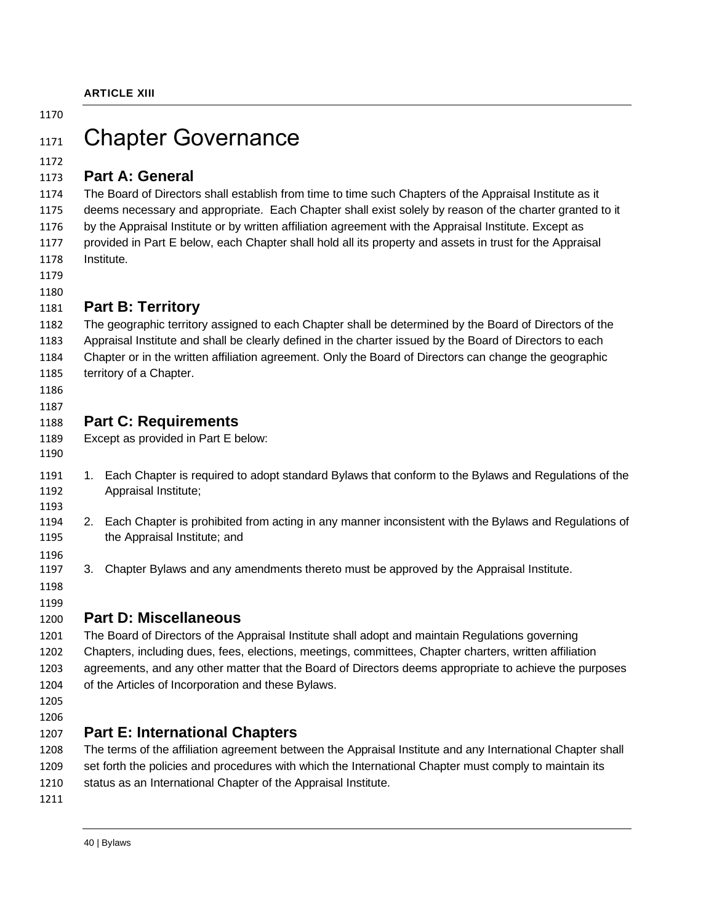## <span id="page-39-1"></span><span id="page-39-0"></span>1171 Chapter Governance

#### 

#### <span id="page-39-2"></span>**Part A: General**

 The Board of Directors shall establish from time to time such Chapters of the Appraisal Institute as it deems necessary and appropriate. Each Chapter shall exist solely by reason of the charter granted to it by the Appraisal Institute or by written affiliation agreement with the Appraisal Institute. Except as provided in Part E below, each Chapter shall hold all its property and assets in trust for the Appraisal Institute.

 

#### <span id="page-39-3"></span>**Part B: Territory**

 The geographic territory assigned to each Chapter shall be determined by the Board of Directors of the Appraisal Institute and shall be clearly defined in the charter issued by the Board of Directors to each Chapter or in the written affiliation agreement. Only the Board of Directors can change the geographic

- territory of a Chapter.
- 

#### <span id="page-39-4"></span>**Part C: Requirements**

- Except as provided in Part E below:
- 
- 1. Each Chapter is required to adopt standard Bylaws that conform to the Bylaws and Regulations of the Appraisal Institute;
- 2. Each Chapter is prohibited from acting in any manner inconsistent with the Bylaws and Regulations of the Appraisal Institute; and
- 3. Chapter Bylaws and any amendments thereto must be approved by the Appraisal Institute.
- 

## <span id="page-39-5"></span>**Part D: Miscellaneous**

 The Board of Directors of the Appraisal Institute shall adopt and maintain Regulations governing Chapters, including dues, fees, elections, meetings, committees, Chapter charters, written affiliation agreements, and any other matter that the Board of Directors deems appropriate to achieve the purposes of the Articles of Incorporation and these Bylaws.

 

#### <span id="page-39-6"></span>**Part E: International Chapters**

 The terms of the affiliation agreement between the Appraisal Institute and any International Chapter shall set forth the policies and procedures with which the International Chapter must comply to maintain its status as an International Chapter of the Appraisal Institute.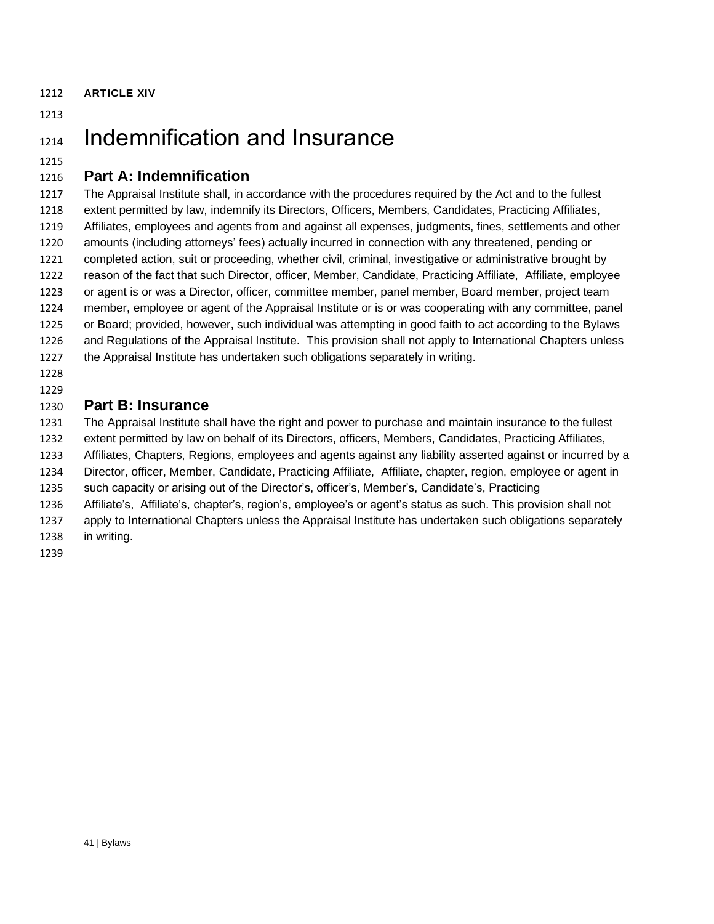<span id="page-40-0"></span>**ARTICLE XIV**

#### 

## <span id="page-40-1"></span>1214 Indemnification and Insurance

#### 

### <span id="page-40-2"></span>**Part A: Indemnification**

 The Appraisal Institute shall, in accordance with the procedures required by the Act and to the fullest extent permitted by law, indemnify its Directors, Officers, Members, Candidates, Practicing Affiliates, Affiliates, employees and agents from and against all expenses, judgments, fines, settlements and other amounts (including attorneys' fees) actually incurred in connection with any threatened, pending or completed action, suit or proceeding, whether civil, criminal, investigative or administrative brought by reason of the fact that such Director, officer, Member, Candidate, Practicing Affiliate, Affiliate, employee or agent is or was a Director, officer, committee member, panel member, Board member, project team member, employee or agent of the Appraisal Institute or is or was cooperating with any committee, panel or Board; provided, however, such individual was attempting in good faith to act according to the Bylaws and Regulations of the Appraisal Institute. This provision shall not apply to International Chapters unless the Appraisal Institute has undertaken such obligations separately in writing.

## 

### <span id="page-40-3"></span>**Part B: Insurance**

 The Appraisal Institute shall have the right and power to purchase and maintain insurance to the fullest extent permitted by law on behalf of its Directors, officers, Members, Candidates, Practicing Affiliates, Affiliates, Chapters, Regions, employees and agents against any liability asserted against or incurred by a

Director, officer, Member, Candidate, Practicing Affiliate, Affiliate, chapter, region, employee or agent in

such capacity or arising out of the Director's, officer's, Member's, Candidate's, Practicing

- Affiliate's, Affiliate's, chapter's, region's, employee's or agent's status as such. This provision shall not
- apply to International Chapters unless the Appraisal Institute has undertaken such obligations separately
- in writing.
-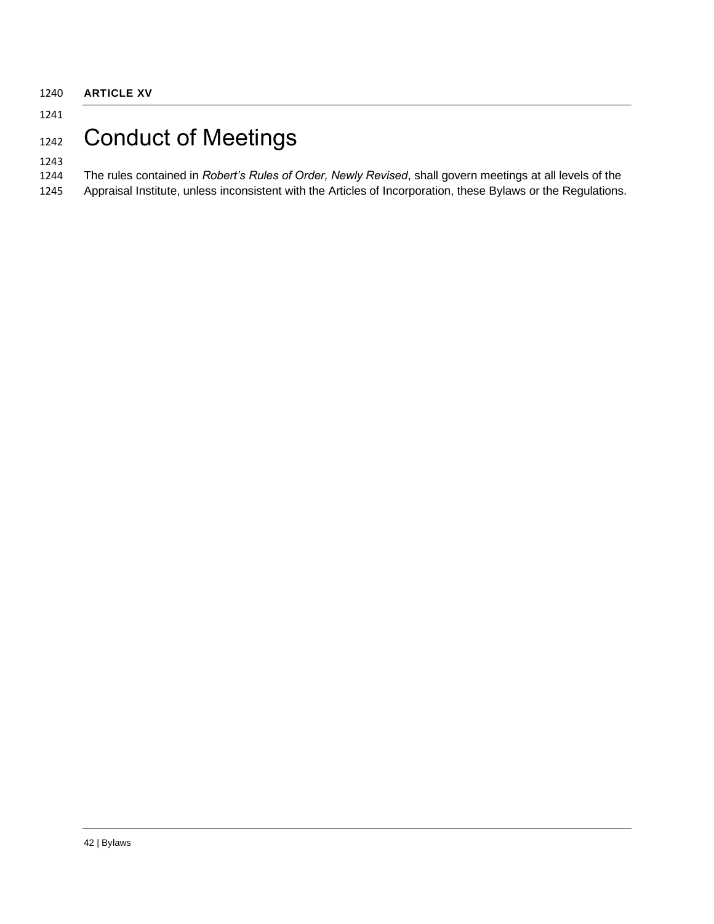# <span id="page-41-1"></span><span id="page-41-0"></span>1242 Conduct of Meetings

#### 

### The rules contained in *Robert's Rules of Order, Newly Revised*, shall govern meetings at all levels of the

Appraisal Institute, unless inconsistent with the Articles of Incorporation, these Bylaws or the Regulations.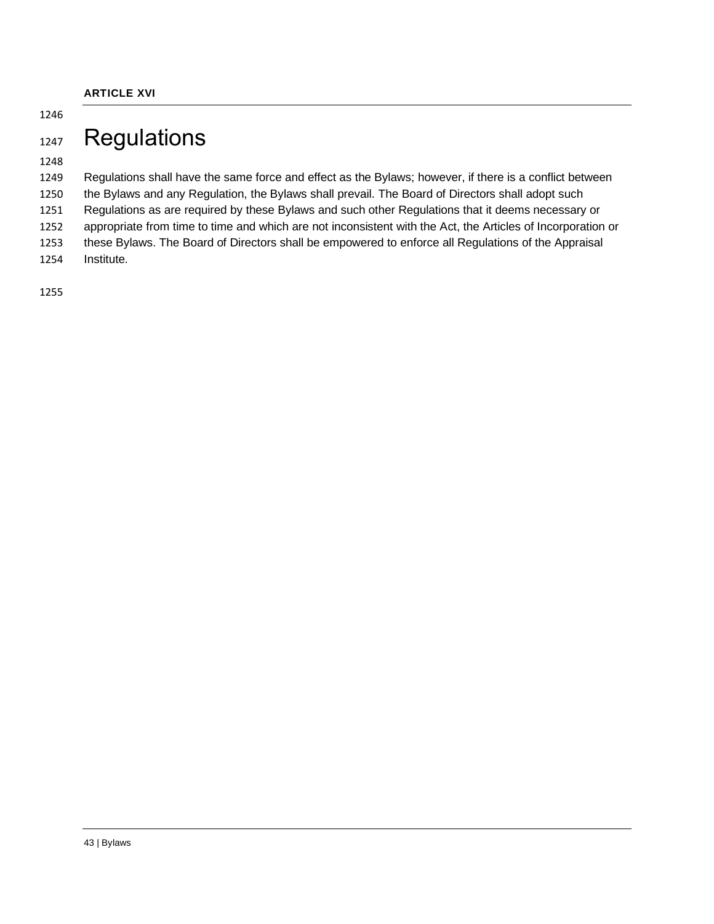## <span id="page-42-1"></span><span id="page-42-0"></span>1247 Regulations

 Regulations shall have the same force and effect as the Bylaws; however, if there is a conflict between the Bylaws and any Regulation, the Bylaws shall prevail. The Board of Directors shall adopt such Regulations as are required by these Bylaws and such other Regulations that it deems necessary or appropriate from time to time and which are not inconsistent with the Act, the Articles of Incorporation or these Bylaws. The Board of Directors shall be empowered to enforce all Regulations of the Appraisal Institute.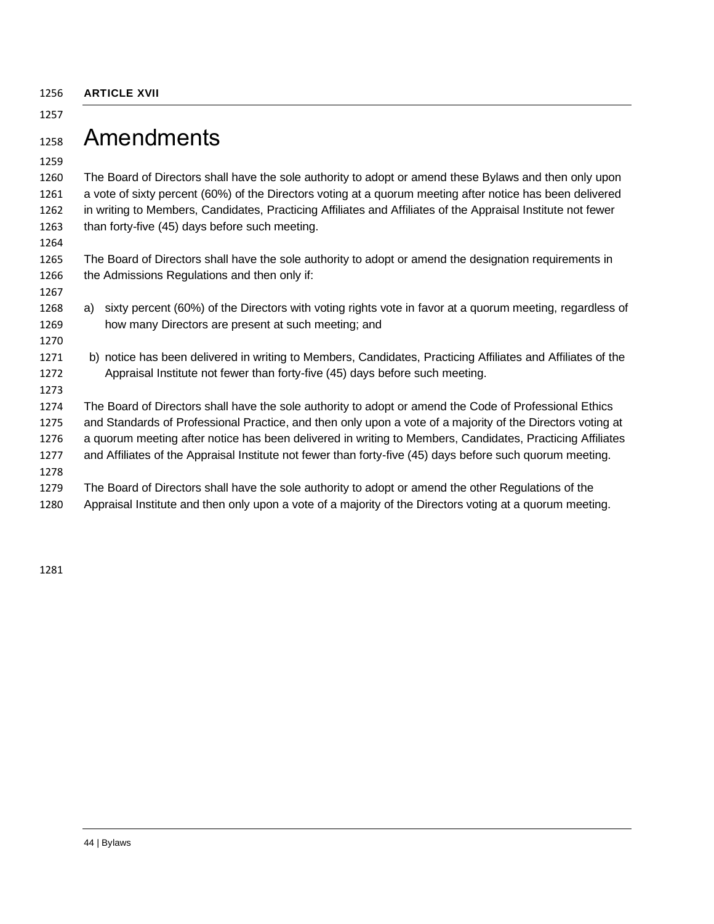<span id="page-43-0"></span>**ARTICLE XVII**

## <span id="page-43-1"></span>Amendments

 The Board of Directors shall have the sole authority to adopt or amend these Bylaws and then only upon a vote of sixty percent (60%) of the Directors voting at a quorum meeting after notice has been delivered in writing to Members, Candidates, Practicing Affiliates and Affiliates of the Appraisal Institute not fewer than forty-five (45) days before such meeting.

 The Board of Directors shall have the sole authority to adopt or amend the designation requirements in the Admissions Regulations and then only if:

- a) sixty percent (60%) of the Directors with voting rights vote in favor at a quorum meeting, regardless of how many Directors are present at such meeting; and
- b) notice has been delivered in writing to Members, Candidates, Practicing Affiliates and Affiliates of the Appraisal Institute not fewer than forty-five (45) days before such meeting.

 The Board of Directors shall have the sole authority to adopt or amend the Code of Professional Ethics and Standards of Professional Practice, and then only upon a vote of a majority of the Directors voting at a quorum meeting after notice has been delivered in writing to Members, Candidates, Practicing Affiliates and Affiliates of the Appraisal Institute not fewer than forty-five (45) days before such quorum meeting. 

The Board of Directors shall have the sole authority to adopt or amend the other Regulations of the

Appraisal Institute and then only upon a vote of a majority of the Directors voting at a quorum meeting.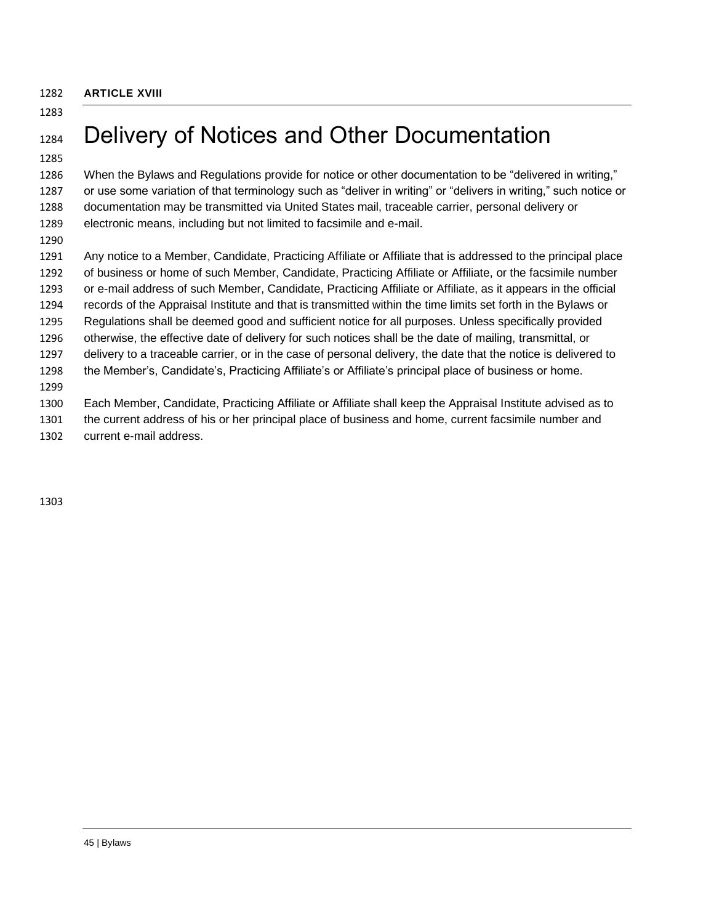<span id="page-44-0"></span>**ARTICLE XVIII**

# <span id="page-44-1"></span>1284 Delivery of Notices and Other Documentation

 When the Bylaws and Regulations provide for notice or other documentation to be "delivered in writing," or use some variation of that terminology such as "deliver in writing" or "delivers in writing," such notice or documentation may be transmitted via United States mail, traceable carrier, personal delivery or electronic means, including but not limited to facsimile and e-mail.

 Any notice to a Member, Candidate, Practicing Affiliate or Affiliate that is addressed to the principal place of business or home of such Member, Candidate, Practicing Affiliate or Affiliate, or the facsimile number or e-mail address of such Member, Candidate, Practicing Affiliate or Affiliate, as it appears in the official records of the Appraisal Institute and that is transmitted within the time limits set forth in the Bylaws or Regulations shall be deemed good and sufficient notice for all purposes. Unless specifically provided otherwise, the effective date of delivery for such notices shall be the date of mailing, transmittal, or delivery to a traceable carrier, or in the case of personal delivery, the date that the notice is delivered to the Member's, Candidate's, Practicing Affiliate's or Affiliate's principal place of business or home. Each Member, Candidate, Practicing Affiliate or Affiliate shall keep the Appraisal Institute advised as to

 the current address of his or her principal place of business and home, current facsimile number and current e-mail address.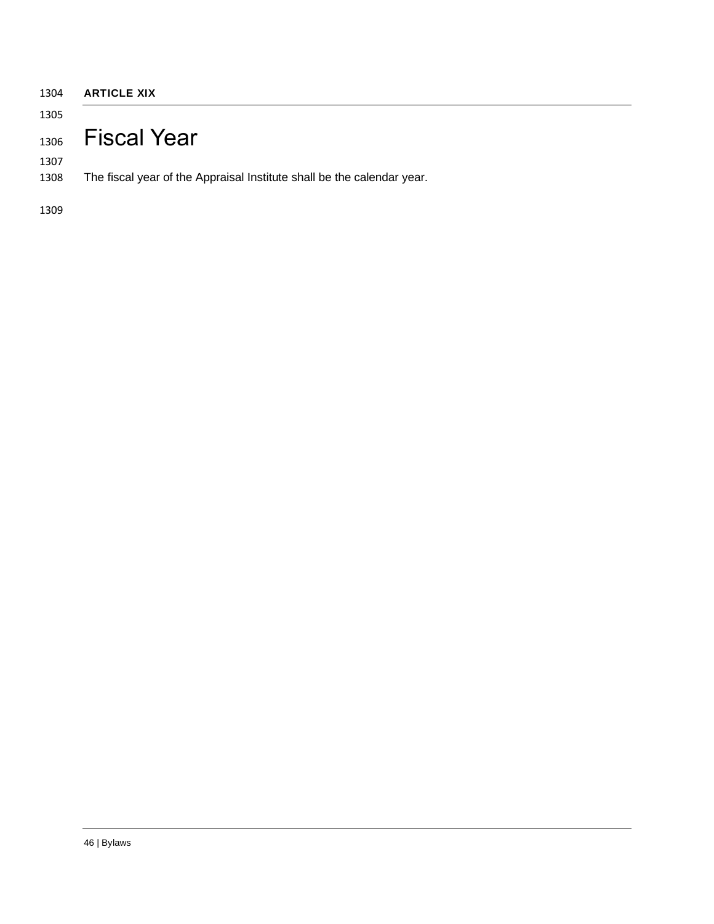<span id="page-45-1"></span><span id="page-45-0"></span>

| <b>ARTICLE XIX</b>                                                     |
|------------------------------------------------------------------------|
|                                                                        |
| 1306 Fiscal Year                                                       |
| The fiscal year of the Appraisal Institute shall be the calendar year. |